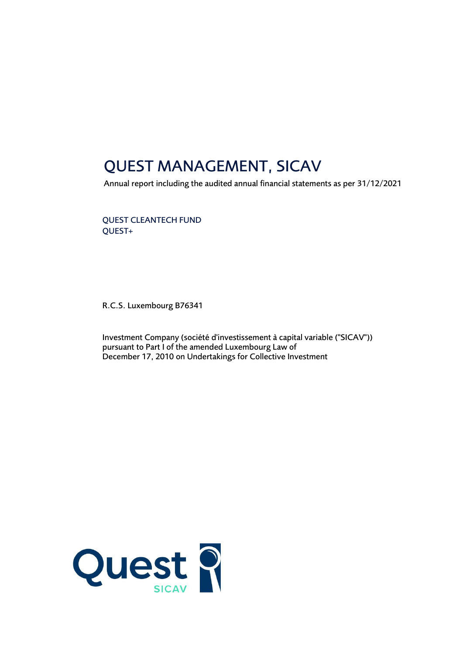## QUEST MANAGEMENT, SICAV

Annual report including the audited annual financial statements as per 31/12/2021

QUEST CLEANTECH FUND QUEST+

R.C.S. Luxembourg B76341

Investment Company (société d'investissement à capital variable ("SICAV")) pursuant to Part I of the amended Luxembourg Law of December 17, 2010 on Undertakings for Collective Investment

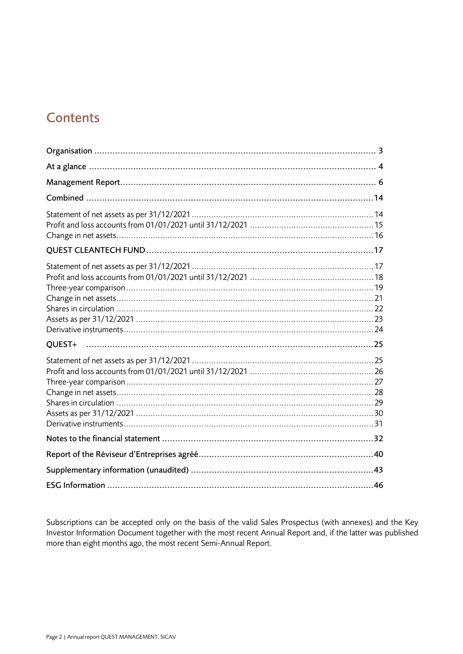### **Contents**

| OUEST+ |  |
|--------|--|
|        |  |
|        |  |
|        |  |
|        |  |
|        |  |

Subscriptions can be accepted only on the basis of the valid Sales Prospectus (with annexes) and the Key Investor Information Document together with the most recent Annual Report and, if the latter was published more than eight months ago, the most recent Semi-Annual Report.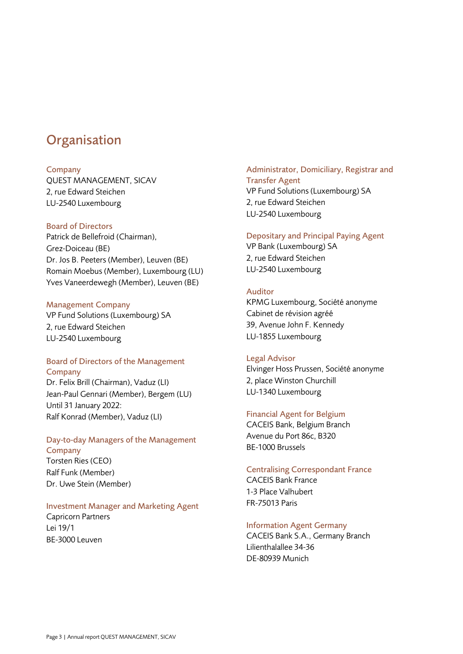### <span id="page-2-0"></span>**Organisation**

### **Company**

QUEST MANAGEMENT, SICAV 2, rue Edward Steichen LU-2540 Luxembourg

### Board of Directors

Patrick de Bellefroid (Chairman), Grez-Doiceau (BE) Dr. Jos B. Peeters (Member), Leuven (BE) Romain Moebus (Member), Luxembourg (LU) Yves Vaneerdewegh (Member), Leuven (BE)

### Management Company

VP Fund Solutions (Luxembourg) SA 2, rue Edward Steichen LU-2540 Luxembourg

### Board of Directors of the Management **Company**

Dr. Felix Brill (Chairman), Vaduz (LI) Jean-Paul Gennari (Member), Bergem (LU) Until 31 January 2022: Ralf Konrad (Member), Vaduz (LI)

### Day-to-day Managers of the Management **Company**

Torsten Ries (CEO) Ralf Funk (Member) Dr. Uwe Stein (Member)

### Investment Manager and Marketing Agent

Capricorn Partners Lei 19/1 BE-3000 Leuven

### Administrator, Domiciliary, Registrar and Transfer Agent

VP Fund Solutions (Luxembourg) SA 2, rue Edward Steichen LU-2540 Luxembourg

### Depositary and Principal Paying Agent

VP Bank (Luxembourg) SA 2, rue Edward Steichen LU-2540 Luxembourg

### Auditor

KPMG Luxembourg, Société anonyme Cabinet de révision agréé 39, Avenue John F. Kennedy LU-1855 Luxembourg

### Legal Advisor

Elvinger Hoss Prussen, Société anonyme 2, place Winston Churchill LU-1340 Luxembourg

### Financial Agent for Belgium

CACEIS Bank, Belgium Branch Avenue du Port 86c, B320 BE-1000 Brussels

### Centralising Correspondant France

CACEIS Bank France 1-3 Place Valhubert FR-75013 Paris

### Information Agent Germany

CACEIS Bank S.A., Germany Branch Lilienthalallee 34-36 DE-80939 Munich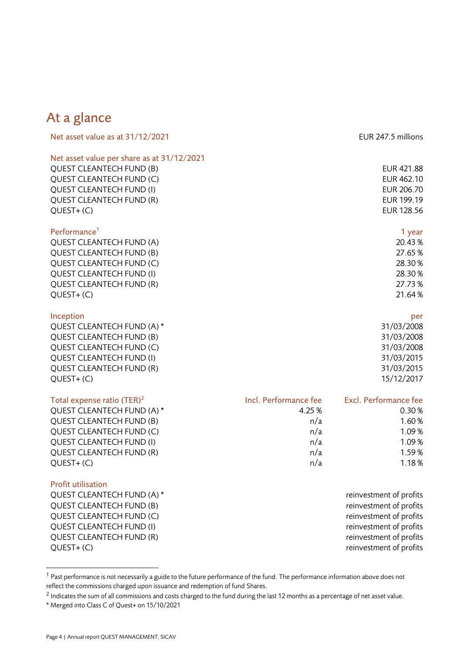### <span id="page-3-0"></span>At a glance

| Net asset value as at 31/12/2021           | EUR 247.5 millions |
|--------------------------------------------|--------------------|
| Net asset value per share as at 31/12/2021 |                    |
| <b>QUEST CLEANTECH FUND (B)</b>            | EUR 421.88         |
| <b>QUEST CLEANTECH FUND (C)</b>            | <b>EUR 462.10</b>  |
| <b>QUEST CLEANTECH FUND (I)</b>            | <b>EUR 206.70</b>  |
| <b>QUEST CLEANTECH FUND (R)</b>            | EUR 199.19         |
| $QUEST+(C)$                                | EUR 128.56         |
| Performance <sup>1</sup>                   | 1 year             |
| <b>QUEST CLEANTECH FUND (A)</b>            | 20.43%             |
| <b>QUEST CLEANTECH FUND (B)</b>            | 27.65%             |
| <b>QUEST CLEANTECH FUND (C)</b>            | 28.30%             |
| QUEST CLEANTECH FUND (I)                   | 28.30 %            |
| <b>QUEST CLEANTECH FUND (R)</b>            | 27.73%             |
| $QUEST+(C)$                                | 21.64%             |
| Inception                                  | per                |
| QUEST CLEANTECH FUND (A) *                 | 31/03/2008         |
| <b>QUEST CLEANTECH FUND (B)</b>            | 31/03/2008         |

QUEST CLEANTECH FUND (C) 31/03/2008 QUEST CLEANTECH FUND (I) 31/03/2015 QUEST CLEANTECH FUND (R) 31/03/2015 QUEST+ (C) 15/12/2017

| Total expense ratio (TER) <sup>2</sup> | Incl. Performance fee | Excl. Performance fee |
|----------------------------------------|-----------------------|-----------------------|
| QUEST CLEANTECH FUND (A) *             | 4.25 %                | 0.30%                 |
| <b>QUEST CLEANTECH FUND (B)</b>        | n/a                   | 1.60%                 |
| QUEST CLEANTECH FUND (C)               | n/a                   | 1.09%                 |
| <b>QUEST CLEANTECH FUND (I)</b>        | n/a                   | 1.09%                 |
| <b>QUEST CLEANTECH FUND (R)</b>        | n/a                   | 1.59%                 |
| QUEST+(C)                              | n/a                   | 1.18%                 |
|                                        |                       |                       |

### Profit utilisation

QUEST CLEANTECH FUND (A) \* The state of profits and the profits of profits and the profits of profits of profits QUEST CLEANTECH FUND (B) THE RESERVE TO A REFORM THE PROFITS REINVESTIME OF PROFITS OUEST CLEANTECH FUND (C) **Reference 10** and 20 and 20 and 20 and 20 and 20 and 20 and 20 and 20 and 20 and 20 and 20 and 20 and 20 and 20 and 20 and 20 and 20 and 20 and 20 and 20 and 20 and 20 and 20 and 20 and 20 and 20 QUEST CLEANTECH FUND (I) CUEST CLEANTECH FUND (I) QUEST CLEANTECH FUND (R) THE RESERVE TO A REPORT OF PROFITS THE PROFITS OF PROFITS AND REINVESTIGATION OF PROFITS QUEST+ (C) reinvestment of profits

 $1$  Past performance is not necessarily a guide to the future performance of the fund. The performance information above does not reflect the commissions charged upon issuance and redemption of fund Shares.

 $^2$  Indicates the sum of all commissions and costs charged to the fund during the last 12 months as a percentage of net asset value. \* Merged into Class C of Quest+ on 15/10/2021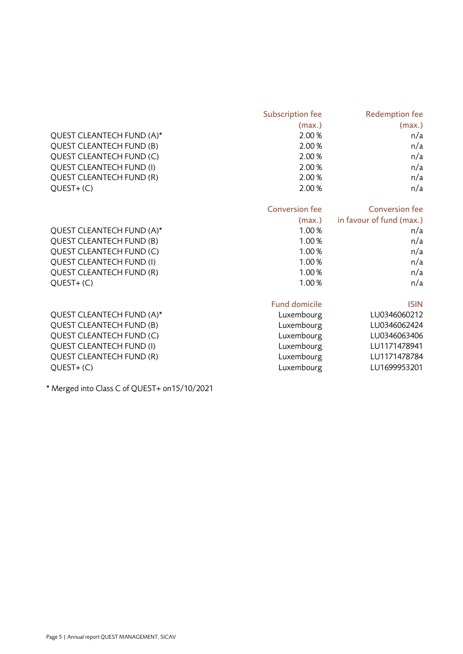|                                              | <b>Subscription fee</b> | <b>Redemption fee</b>    |
|----------------------------------------------|-------------------------|--------------------------|
|                                              | (max.)                  | (max.)                   |
| QUEST CLEANTECH FUND (A)*                    | 2.00%                   | n/a                      |
| <b>QUEST CLEANTECH FUND (B)</b>              | 2.00%                   | n/a                      |
| QUEST CLEANTECH FUND (C)                     | 2.00%                   | n/a                      |
| <b>QUEST CLEANTECH FUND (I)</b>              | 2.00%                   | n/a                      |
| <b>QUEST CLEANTECH FUND (R)</b>              | 2.00%                   | n/a                      |
| $QUEST+(C)$                                  | 2.00%                   | n/a                      |
|                                              | <b>Conversion fee</b>   | <b>Conversion fee</b>    |
|                                              | (max.)                  | in favour of fund (max.) |
| QUEST CLEANTECH FUND (A)*                    | 1.00%                   | n/a                      |
| <b>QUEST CLEANTECH FUND (B)</b>              | 1.00%                   | n/a                      |
| QUEST CLEANTECH FUND (C)                     | 1.00%                   | n/a                      |
| <b>QUEST CLEANTECH FUND (I)</b>              | 1.00%                   | n/a                      |
| QUEST CLEANTECH FUND (R)                     | 1.00%                   | n/a                      |
| $QUEST+(C)$                                  | 1.00%                   | n/a                      |
|                                              | <b>Fund domicile</b>    | <b>ISIN</b>              |
| QUEST CLEANTECH FUND (A)*                    | Luxembourg              | LU0346060212             |
| <b>QUEST CLEANTECH FUND (B)</b>              | Luxembourg              | LU0346062424             |
| QUEST CLEANTECH FUND (C)                     | Luxembourg              | LU0346063406             |
| <b>QUEST CLEANTECH FUND (I)</b>              | Luxembourg              | LU1171478941             |
| <b>QUEST CLEANTECH FUND (R)</b>              | Luxembourg              | LU1171478784             |
| $QUEST+(C)$                                  | Luxembourg              | LU1699953201             |
| * Merged into Class C of QUEST+ on15/10/2021 |                         |                          |

Page 5 | Annual report QUEST MANAGEMENT, SICAV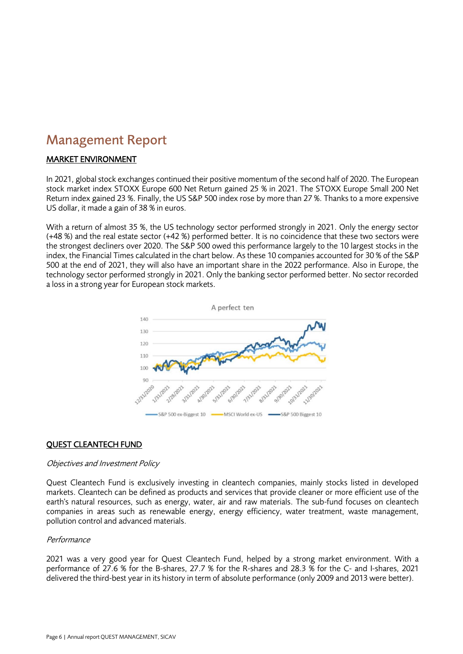### <span id="page-5-0"></span>Management Report

### MARKET ENVIRONMENT

In 2021, global stock exchanges continued their positive momentum of the second half of 2020. The European stock market index STOXX Europe 600 Net Return gained 25 % in 2021. The STOXX Europe Small 200 Net Return index gained 23 %. Finally, the US S&P 500 index rose by more than 27 %. Thanks to a more expensive US dollar, it made a gain of 38 % in euros.

With a return of almost 35 %, the US technology sector performed strongly in 2021. Only the energy sector (+48 %) and the real estate sector (+42 %) performed better. It is no coincidence that these two sectors were the strongest decliners over 2020. The S&P 500 owed this performance largely to the 10 largest stocks in the index, the Financial Times calculated in the chart below. As these 10 companies accounted for 30 % of the S&P 500 at the end of 2021, they will also have an important share in the 2022 performance. Also in Europe, the technology sector performed strongly in 2021. Only the banking sector performed better. No sector recorded a loss in a strong year for European stock markets.



### QUEST CLEANTECH FUND

### Objectives and Investment Policy

Quest Cleantech Fund is exclusively investing in cleantech companies, mainly stocks listed in developed markets. Cleantech can be defined as products and services that provide cleaner or more efficient use of the earth's natural resources, such as energy, water, air and raw materials. The sub-fund focuses on cleantech companies in areas such as renewable energy, energy efficiency, water treatment, waste management, pollution control and advanced materials.

### **Performance**

2021 was a very good year for Quest Cleantech Fund, helped by a strong market environment. With a performance of 27.6 % for the B-shares, 27.7 % for the R-shares and 28.3 % for the C- and I-shares, 2021 delivered the third-best year in its history in term of absolute performance (only 2009 and 2013 were better).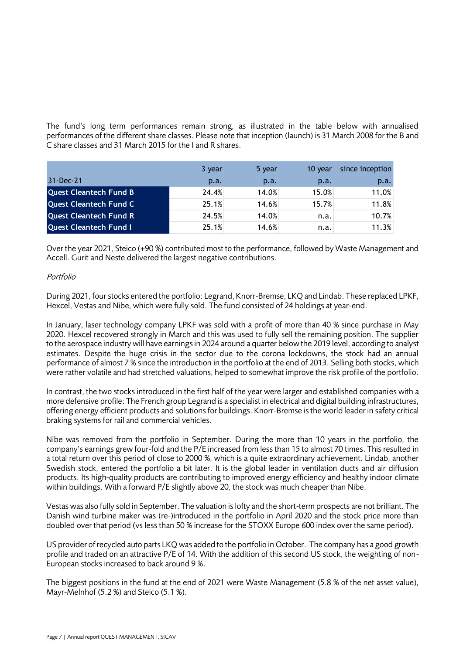The fund's long term performances remain strong, as illustrated in the table below with annualised performances of the different share classes. Please note that inception (launch) is 31 March 2008 for the B and C share classes and 31 March 2015 for the I and R shares.

|                               | 3 year | 5 year | 10 year | since inception |
|-------------------------------|--------|--------|---------|-----------------|
| 31-Dec-21                     | p.a.   | p.a.   | p.a.    | p.a.            |
| <b>Quest Cleantech Fund B</b> | 24.4%  | 14.0%  | 15.0%   | 11.0%           |
| <b>Quest Cleantech Fund C</b> | 25.1%  | 14.6%  | 15.7%   | 11.8%           |
| <b>Quest Cleantech Fund R</b> | 24.5%  | 14.0%  | n.a.    | 10.7%           |
| <b>Quest Cleantech Fund I</b> | 25.1%  | 14.6%  | n.a.    | 11.3%           |

Over the year 2021, Steico (+90 %) contributed most to the performance, followed by Waste Management and Accell. Gurit and Neste delivered the largest negative contributions.

### Portfolio

During 2021, four stocks entered the portfolio: Legrand, Knorr-Bremse, LKQ and Lindab. These replaced LPKF, Hexcel, Vestas and Nibe, which were fully sold. The fund consisted of 24 holdings at year-end.

In January, laser technology company LPKF was sold with a profit of more than 40 % since purchase in May 2020. Hexcel recovered strongly in March and this was used to fully sell the remaining position. The supplier to the aerospace industry will have earnings in 2024 around a quarter below the 2019 level, according to analyst estimates. Despite the huge crisis in the sector due to the corona lockdowns, the stock had an annual performance of almost 7 % since the introduction in the portfolio at the end of 2013. Selling both stocks, which were rather volatile and had stretched valuations, helped to somewhat improve the risk profile of the portfolio.

In contrast, the two stocks introduced in the first half of the year were larger and established companies with a more defensive profile: The French group Legrand is a specialist in electrical and digital building infrastructures, offering energy efficient products and solutions for buildings. Knorr-Bremse is the world leader in safety critical braking systems for rail and commercial vehicles.

Nibe was removed from the portfolio in September. During the more than 10 years in the portfolio, the company's earnings grew four-fold and the P/E increased from less than 15 to almost 70 times. This resulted in a total return over this period of close to 2000 %, which is a quite extraordinary achievement. Lindab, another Swedish stock, entered the portfolio a bit later. It is the global leader in ventilation ducts and air diffusion products. Its high-quality products are contributing to improved energy efficiency and healthy indoor climate within buildings. With a forward P/E slightly above 20, the stock was much cheaper than Nibe.

Vestas was also fully sold in September. The valuation is lofty and the short-term prospects are not brilliant. The Danish wind turbine maker was (re-)introduced in the portfolio in April 2020 and the stock price more than doubled over that period (vs less than 50 % increase for the STOXX Europe 600 index over the same period).

US provider of recycled auto parts LKQ was added to the portfolio in October. The company has a good growth profile and traded on an attractive P/E of 14. With the addition of this second US stock, the weighting of non-European stocks increased to back around 9 %.

The biggest positions in the fund at the end of 2021 were Waste Management (5.8 % of the net asset value), Mayr-Melnhof (5.2 %) and Steico (5.1 %).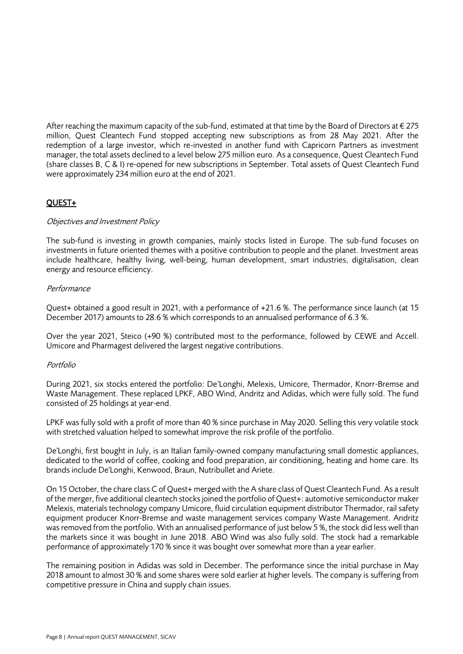After reaching the maximum capacity of the sub-fund, estimated at that time by the Board of Directors at  $\epsilon$  275 million, Quest Cleantech Fund stopped accepting new subscriptions as from 28 May 2021. After the redemption of a large investor, which re-invested in another fund with Capricorn Partners as investment manager, the total assets declined to a level below 275 million euro. As a consequence, Quest Cleantech Fund (share classes B, C & I) re-opened for new subscriptions in September. Total assets of Quest Cleantech Fund were approximately 234 million euro at the end of 2021.

### QUEST+

### Objectives and Investment Policy

The sub-fund is investing in growth companies, mainly stocks listed in Europe. The sub-fund focuses on investments in future oriented themes with a positive contribution to people and the planet. Investment areas include healthcare, healthy living, well-being, human development, smart industries, digitalisation, clean energy and resource efficiency.

### Performance

Quest+ obtained a good result in 2021, with a performance of +21.6 %. The performance since launch (at 15 December 2017) amounts to 28.6 % which corresponds to an annualised performance of 6.3 %.

Over the year 2021, Steico (+90 %) contributed most to the performance, followed by CEWE and Accell. Umicore and Pharmagest delivered the largest negative contributions.

### Portfolio

During 2021, six stocks entered the portfolio: De'Longhi, Melexis, Umicore, Thermador, Knorr-Bremse and Waste Management. These replaced LPKF, ABO Wind, Andritz and Adidas, which were fully sold. The fund consisted of 25 holdings at year-end.

LPKF was fully sold with a profit of more than 40 % since purchase in May 2020. Selling this very volatile stock with stretched valuation helped to somewhat improve the risk profile of the portfolio.

De'Longhi, first bought in July, is an Italian family-owned company manufacturing small domestic appliances, dedicated to the world of coffee, cooking and food preparation, air conditioning, heating and home care. Its brands include De'Longhi, Kenwood, Braun, Nutribullet and Ariete.

On 15 October, the chare class C of Quest+ merged with the A share class of Quest Cleantech Fund. As a result of the merger, five additional cleantech stocks joined the portfolio of Quest+: automotive semiconductor maker Melexis, materials technology company Umicore, fluid circulation equipment distributor Thermador, rail safety equipment producer Knorr-Bremse and waste management services company Waste Management. Andritz was removed from the portfolio. With an annualised performance of just below 5 %, the stock did less well than the markets since it was bought in June 2018. ABO Wind was also fully sold. The stock had a remarkable performance of approximately 170 % since it was bought over somewhat more than a year earlier.

The remaining position in Adidas was sold in December. The performance since the initial purchase in May 2018 amount to almost 30 % and some shares were sold earlier at higher levels. The company is suffering from competitive pressure in China and supply chain issues.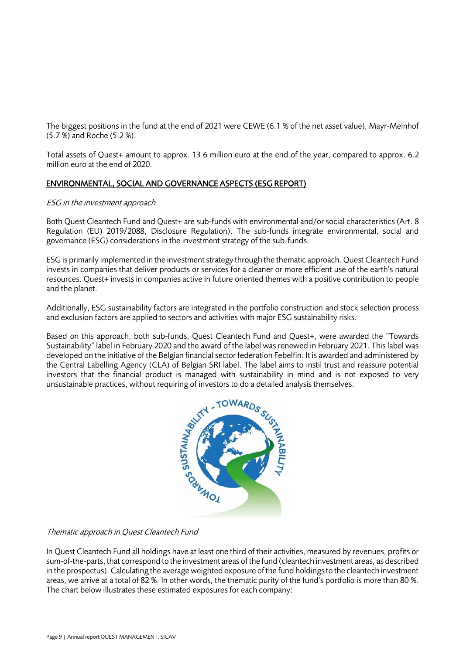The biggest positions in the fund at the end of 2021 were CEWE (6.1 % of the net asset value), Mayr-Melnhof (5.7 %) and Roche (5.2 %).

Total assets of Quest+ amount to approx. 13.6 million euro at the end of the year, compared to approx. 6.2 million euro at the end of 2020.

### ENVIRONMENTAL, SOCIAL AND GOVERNANCE ASPECTS (ESG REPORT)

### ESG in the investment approach

Both Quest Cleantech Fund and Quest+ are sub-funds with environmental and/or social characteristics (Art. 8 Regulation (EU) 2019/2088, Disclosure Regulation). The sub-funds integrate environmental, social and governance (ESG) considerations in the investment strategy of the sub-funds.

ESG is primarily implemented in the investment strategy through the thematic approach. Quest Cleantech Fund invests in companies that deliver products or services for a cleaner or more efficient use of the earth's natural resources. Quest+ invests in companies active in future oriented themes with a positive contribution to people and the planet.

Additionally, ESG sustainability factors are integrated in the portfolio construction and stock selection process and exclusion factors are applied to sectors and activities with major ESG sustainability risks.

Based on this approach, both sub-funds, Quest Cleantech Fund and Quest+, were awarded the "Towards Sustainability" label in February 2020 and the award of the label was renewed in February 2021. This label was developed on the initiative of the Belgian financial sector federation Febelfin. It is awarded and administered by the Central Labelling Agency (CLA) of Belgian SRI label. The label aims to instil trust and reassure potential investors that the financial product is managed with sustainability in mind and is not exposed to very unsustainable practices, without requiring of investors to do a detailed analysis themselves.



### Thematic approach in Quest Cleantech Fund

In Quest Cleantech Fund all holdings have at least one third of their activities, measured by revenues, profits or sum-of-the-parts, that correspond to the investment areas of the fund (cleantech investment areas, as described in the prospectus). Calculating the average weighted exposure of the fund holdings to the cleantech investment areas, we arrive at a total of 82 %. In other words, the thematic purity of the fund's portfolio is more than 80 %. The chart below illustrates these estimated exposures for each company: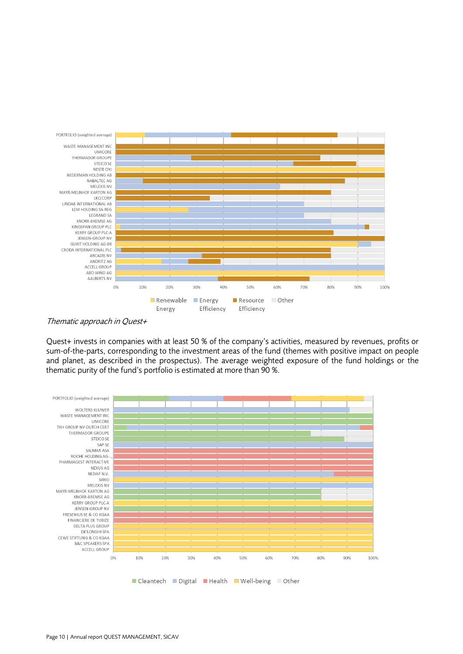

Thematic approach in Quest+

Quest+ invests in companies with at least 50 % of the company's activities, measured by revenues, profits or sum-of-the-parts, corresponding to the investment areas of the fund (themes with positive impact on people and planet, as described in the prospectus). The average weighted exposure of the fund holdings or the thematic purity of the fund's portfolio is estimated at more than 90 %.

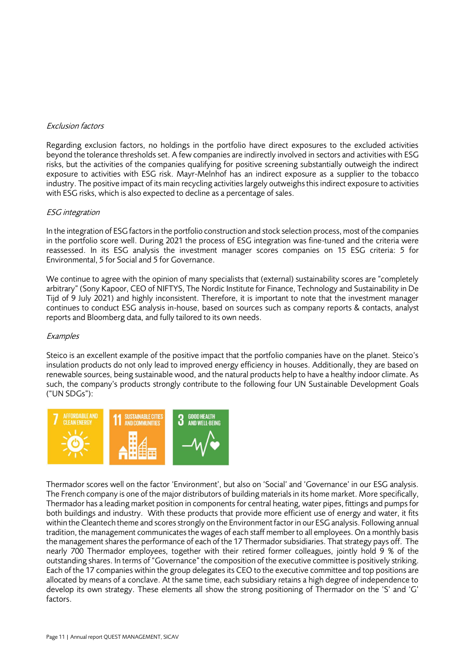### Exclusion factors

Regarding exclusion factors, no holdings in the portfolio have direct exposures to the excluded activities beyond the tolerance thresholds set. A few companies are indirectly involved in sectors and activities with ESG risks, but the activities of the companies qualifying for positive screening substantially outweigh the indirect exposure to activities with ESG risk. Mayr-Melnhof has an indirect exposure as a supplier to the tobacco industry. The positive impact of its main recycling activities largely outweighs this indirect exposure to activities with ESG risks, which is also expected to decline as a percentage of sales.

### ESG integration

In the integration of ESG factors in the portfolio construction and stock selection process, most of the companies in the portfolio score well. During 2021 the process of ESG integration was fine-tuned and the criteria were reassessed. In its ESG analysis the investment manager scores companies on 15 ESG criteria: 5 for Environmental, 5 for Social and 5 for Governance.

We continue to agree with the opinion of many specialists that (external) sustainability scores are "completely arbitrary" (Sony Kapoor, CEO of NIFTYS, The Nordic Institute for Finance, Technology and Sustainability in De Tijd of 9 July 2021) and highly inconsistent. Therefore, it is important to note that the investment manager continues to conduct ESG analysis in-house, based on sources such as company reports & contacts, analyst reports and Bloomberg data, and fully tailored to its own needs.

### **Examples**

Steico is an excellent example of the positive impact that the portfolio companies have on the planet. Steico's insulation products do not only lead to improved energy efficiency in houses. Additionally, they are based on renewable sources, being sustainable wood, and the natural products help to have a healthy indoor climate. As such, the company's products strongly contribute to the following four UN Sustainable Development Goals ("UN SDGs"):



Thermador scores well on the factor 'Environment', but also on 'Social' and 'Governance' in our ESG analysis. The French company is one of the major distributors of building materials in its home market. More specifically, Thermador has a leading market position in components for central heating, water pipes, fittings and pumps for both buildings and industry. With these products that provide more efficient use of energy and water, it fits within the Cleantech theme and scores strongly on the Environment factor in our ESG analysis. Following annual tradition, the management communicates the wages of each staff member to all employees. On a monthly basis the management shares the performance of each of the 17 Thermador subsidiaries. That strategy pays off. The nearly 700 Thermador employees, together with their retired former colleagues, jointly hold 9 % of the outstanding shares. In terms of "Governance" the composition of the executive committee is positively striking. Each of the 17 companies within the group delegates its CEO to the executive committee and top positions are allocated by means of a conclave. At the same time, each subsidiary retains a high degree of independence to develop its own strategy. These elements all show the strong positioning of Thermador on the 'S' and 'G' factors.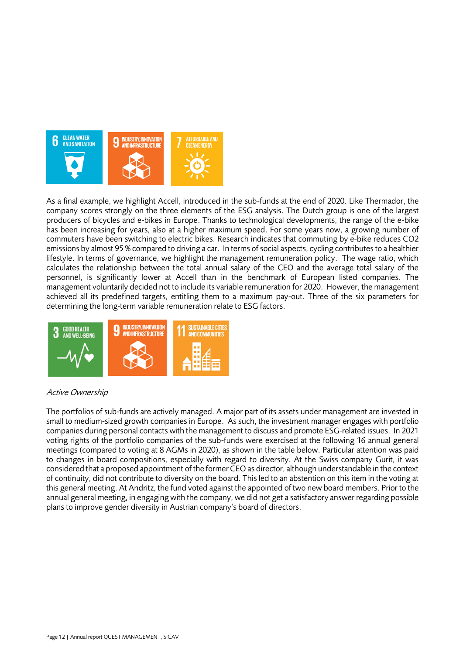

As a final example, we highlight Accell, introduced in the sub-funds at the end of 2020. Like Thermador, the company scores strongly on the three elements of the ESG analysis. The Dutch group is one of the largest producers of bicycles and e-bikes in Europe. Thanks to technological developments, the range of the e-bike has been increasing for years, also at a higher maximum speed. For some years now, a growing number of commuters have been switching to electric bikes. Research indicates that commuting by e-bike reduces CO2 emissions by almost 95 % compared to driving a car. In terms of social aspects, cycling contributes to a healthier lifestyle. In terms of governance, we highlight the management remuneration policy. The wage ratio, which calculates the relationship between the total annual salary of the CEO and the average total salary of the personnel, is significantly lower at Accell than in the benchmark of European listed companies. The management voluntarily decided not to include its variable remuneration for 2020. However, the management achieved all its predefined targets, entitling them to a maximum pay-out. Three of the six parameters for determining the long-term variable remuneration relate to ESG factors.



### Active Ownership

The portfolios of sub-funds are actively managed. A major part of its assets under management are invested in small to medium-sized growth companies in Europe. As such, the investment manager engages with portfolio companies during personal contacts with the management to discuss and promote ESG-related issues. In 2021 voting rights of the portfolio companies of the sub-funds were exercised at the following 16 annual general meetings (compared to voting at 8 AGMs in 2020), as shown in the table below. Particular attention was paid to changes in board compositions, especially with regard to diversity. At the Swiss company Gurit, it was considered that a proposed appointment of the former CEO as director, although understandable in the context of continuity, did not contribute to diversity on the board. This led to an abstention on this item in the voting at this general meeting. At Andritz, the fund voted against the appointed of two new board members. Prior to the annual general meeting, in engaging with the company, we did not get a satisfactory answer regarding possible plans to improve gender diversity in Austrian company's board of directors.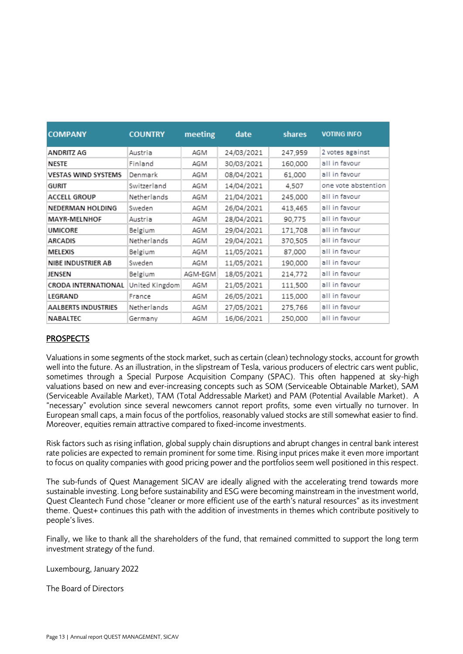| <b>COMPANY</b>             | <b>COUNTRY</b> | meeting | date       | <b>shares</b> | <b>VOTING INFO</b>  |
|----------------------------|----------------|---------|------------|---------------|---------------------|
|                            |                |         |            |               |                     |
| <b>ANDRITZ AG</b>          | Austria        | AGM     | 24/03/2021 | 247,959       | 2 votes against     |
| <b>NESTE</b>               | Finland        | AGM     | 30/03/2021 | 160,000       | all in favour       |
| <b>VESTAS WIND SYSTEMS</b> | Denmark        | AGM     | 08/04/2021 | 61,000        | all in favour       |
| <b>GURIT</b>               | Switzerland    | AGM     | 14/04/2021 | 4.507         | one vote abstention |
| <b>ACCELL GROUP</b>        | Netherlands    | AGM     | 21/04/2021 | 245,000       | all in favour       |
| NEDERMAN HOLDING           | Sweden         | AGM     | 26/04/2021 | 413,465       | all in favour       |
| <b>MAYR-MELNHOF</b>        | Austria        | AGM     | 28/04/2021 | 90.775        | all in favour       |
| <b>UMICORE</b>             | Belgium        | AGM     | 29/04/2021 | 171,708       | all in favour       |
| <b>ARCADIS</b>             | Netherlands    | AGM     | 29/04/2021 | 370,505       | all in favour       |
| <b>MELEXIS</b>             | Belgium        | AGM     | 11/05/2021 | 87,000        | all in favour       |
| <b>NIBE INDUSTRIER AB</b>  | Sweden         | AGM     | 11/05/2021 | 190,000       | all in favour       |
| <b>JENSEN</b>              | Belgium        | AGM-EGM | 18/05/2021 | 214,772       | all in favour       |
| <b>CRODA INTERNATIONAL</b> | United Kingdom | AGM     | 21/05/2021 | 111,500       | all in favour       |
| LEGRAND                    | France         | AGM     | 26/05/2021 | 115,000       | all in favour       |
| <b>AALBERTS INDUSTRIES</b> | Netherlands    | AGM     | 27/05/2021 | 275,766       | all in favour       |
| <b>NABALTEC</b>            | Germany        | AGM     | 16/06/2021 | 250,000       | all in favour       |

### PROSPECTS

Valuations in some segments of the stock market, such as certain (clean) technology stocks, account for growth well into the future. As an illustration, in the slipstream of Tesla, various producers of electric cars went public, sometimes through a Special Purpose Acquisition Company (SPAC). This often happened at sky-high valuations based on new and ever-increasing concepts such as SOM (Serviceable Obtainable Market), SAM (Serviceable Available Market), TAM (Total Addressable Market) and PAM (Potential Available Market). A "necessary" evolution since several newcomers cannot report profits, some even virtually no turnover. In European small caps, a main focus of the portfolios, reasonably valued stocks are still somewhat easier to find. Moreover, equities remain attractive compared to fixed-income investments.

Risk factors such as rising inflation, global supply chain disruptions and abrupt changes in central bank interest rate policies are expected to remain prominent for some time. Rising input prices make it even more important to focus on quality companies with good pricing power and the portfolios seem well positioned in this respect.

The sub-funds of Quest Management SICAV are ideally aligned with the accelerating trend towards more sustainable investing. Long before sustainability and ESG were becoming mainstream in the investment world, Quest Cleantech Fund chose "cleaner or more efficient use of the earth's natural resources" as its investment theme. Quest+ continues this path with the addition of investments in themes which contribute positively to people's lives.

Finally, we like to thank all the shareholders of the fund, that remained committed to support the long term investment strategy of the fund.

Luxembourg, January 2022

The Board of Directors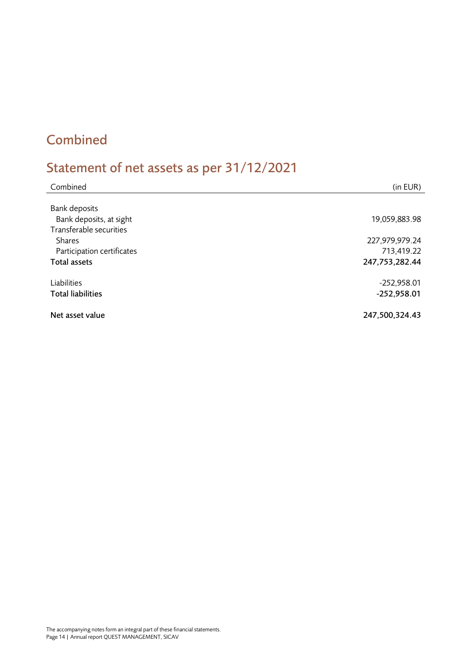### <span id="page-13-0"></span>Combined

## <span id="page-13-1"></span>Statement of net assets as per 31/12/2021

| Combined                                          | (in EUR)                     |
|---------------------------------------------------|------------------------------|
| Bank deposits<br>Bank deposits, at sight          | 19,059,883.98                |
| Transferable securities<br><b>Shares</b>          | 227,979,979.24               |
| Participation certificates<br><b>Total assets</b> | 713,419.22<br>247,753,282.44 |
| Liabilities                                       | $-252,958.01$                |
| <b>Total liabilities</b>                          | $-252,958.01$                |
| Net asset value                                   | 247,500,324.43               |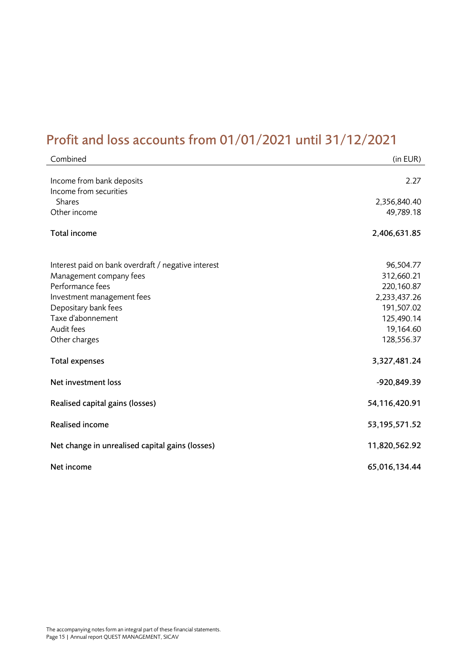### <span id="page-14-0"></span>Profit and loss accounts from 01/01/2021 until 31/12/2021

| Combined                                            | (in EUR)                |
|-----------------------------------------------------|-------------------------|
| Income from bank deposits<br>Income from securities | 2.27                    |
| <b>Shares</b>                                       | 2,356,840.40            |
| Other income                                        | 49,789.18               |
| Total income                                        | 2,406,631.85            |
| Interest paid on bank overdraft / negative interest | 96,504.77               |
| Management company fees                             | 312,660.21              |
| Performance fees                                    | 220,160.87              |
| Investment management fees                          | 2,233,437.26            |
| Depositary bank fees                                | 191,507.02              |
| Taxe d'abonnement                                   | 125,490.14              |
| Audit fees<br>Other charges                         | 19,164.60<br>128,556.37 |
| <b>Total expenses</b>                               | 3,327,481.24            |
| Net investment loss                                 | -920,849.39             |
| Realised capital gains (losses)                     | 54,116,420.91           |
| <b>Realised income</b>                              | 53, 195, 571.52         |
| Net change in unrealised capital gains (losses)     | 11,820,562.92           |
| Net income                                          | 65,016,134.44           |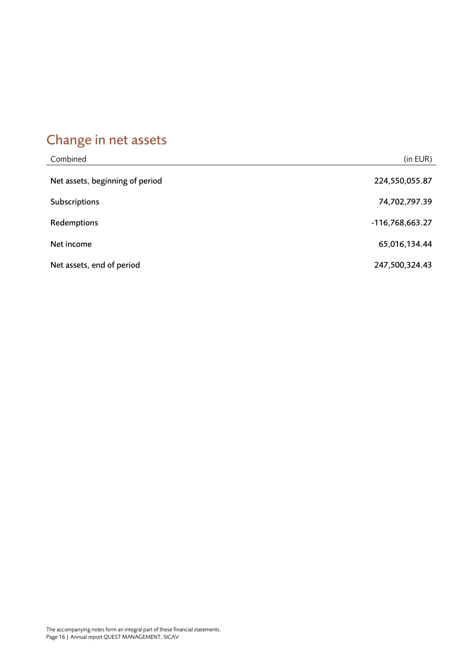## <span id="page-15-0"></span>Change in net assets

| Combined                        | (in EUR)        |
|---------------------------------|-----------------|
| Net assets, beginning of period | 224,550,055.87  |
| Subscriptions                   | 74,702,797.39   |
| Redemptions                     | -116,768,663.27 |
| Net income                      | 65,016,134.44   |
| Net assets, end of period       | 247,500,324.43  |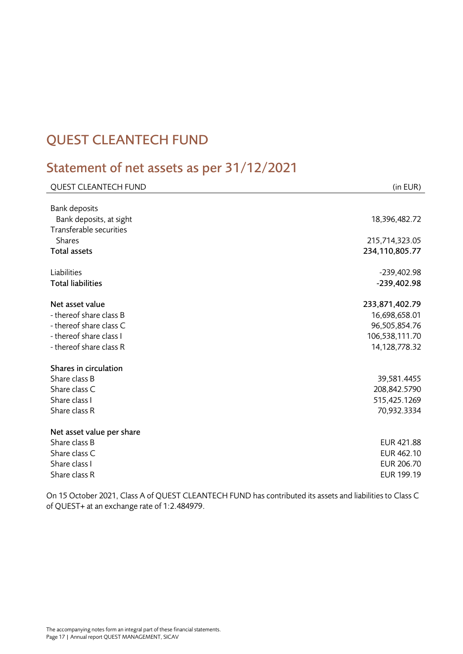### <span id="page-16-0"></span>QUEST CLEANTECH FUND

### <span id="page-16-1"></span>Statement of net assets as per 31/12/2021

| <b>QUEST CLEANTECH FUND</b>                        | (in EUR)       |
|----------------------------------------------------|----------------|
|                                                    |                |
| <b>Bank deposits</b>                               | 18,396,482.72  |
| Bank deposits, at sight<br>Transferable securities |                |
| <b>Shares</b>                                      | 215,714,323.05 |
| <b>Total assets</b>                                | 234,110,805.77 |
|                                                    |                |
| Liabilities                                        | $-239,402.98$  |
| <b>Total liabilities</b>                           | $-239,402.98$  |
|                                                    |                |
| Net asset value                                    | 233,871,402.79 |
| - thereof share class B                            | 16,698,658.01  |
| - thereof share class C                            | 96,505,854.76  |
| - thereof share class I                            | 106,538,111.70 |
| - thereof share class R                            | 14,128,778.32  |
| Shares in circulation                              |                |
| Share class B                                      | 39,581.4455    |
| Share class C                                      | 208,842.5790   |
| Share class I                                      | 515,425.1269   |
| Share class R                                      | 70,932.3334    |
|                                                    |                |
| Net asset value per share                          |                |
| Share class B                                      | EUR 421.88     |
| Share class C                                      | EUR 462.10     |
| Share class I                                      | EUR 206.70     |
| Share class R                                      | EUR 199.19     |

On 15 October 2021, Class A of QUEST CLEANTECH FUND has contributed its assets and liabilities to Class C of QUEST+ at an exchange rate of 1:2.484979.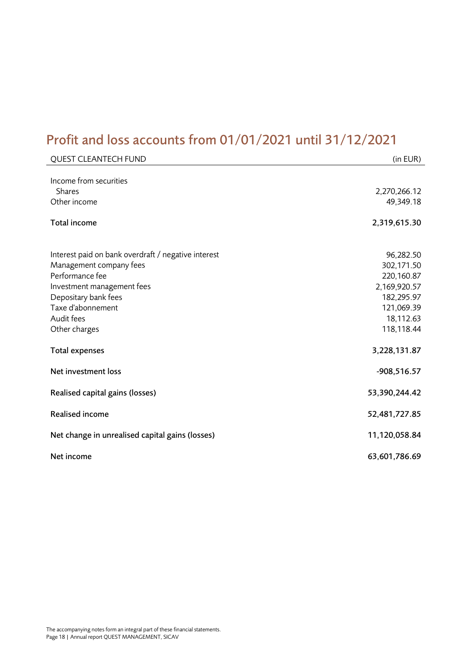### <span id="page-17-0"></span>Profit and loss accounts from 01/01/2021 until 31/12/2021

| <b>QUEST CLEANTECH FUND</b>                                                                                                                                                  | (in EUR)                                                                          |
|------------------------------------------------------------------------------------------------------------------------------------------------------------------------------|-----------------------------------------------------------------------------------|
| Income from securities<br><b>Shares</b><br>Other income                                                                                                                      | 2,270,266.12<br>49,349.18                                                         |
| Total income                                                                                                                                                                 | 2,319,615.30                                                                      |
| Interest paid on bank overdraft / negative interest<br>Management company fees<br>Performance fee<br>Investment management fees<br>Depositary bank fees<br>Taxe d'abonnement | 96,282.50<br>302,171.50<br>220,160.87<br>2,169,920.57<br>182,295.97<br>121,069.39 |
| Audit fees                                                                                                                                                                   | 18,112.63                                                                         |
| Other charges<br><b>Total expenses</b>                                                                                                                                       | 118,118.44<br>3,228,131.87                                                        |
| Net investment loss                                                                                                                                                          | $-908,516.57$                                                                     |
| Realised capital gains (losses)                                                                                                                                              | 53,390,244.42                                                                     |
| <b>Realised income</b>                                                                                                                                                       | 52,481,727.85                                                                     |
| Net change in unrealised capital gains (losses)                                                                                                                              | 11,120,058.84                                                                     |
| Net income                                                                                                                                                                   | 63,601,786.69                                                                     |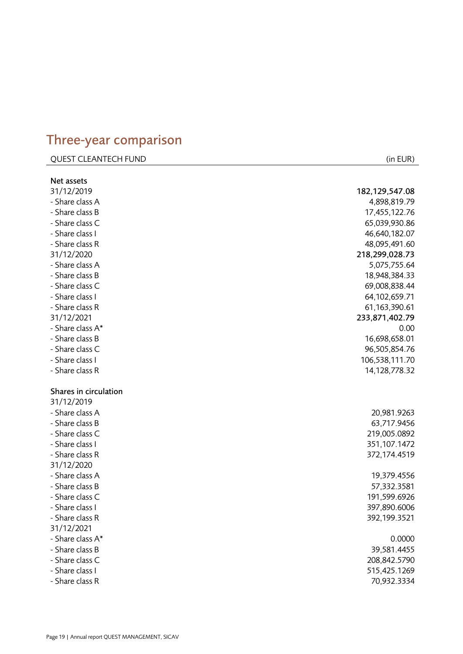### <span id="page-18-0"></span>Three - year comparison

### QUEST CLEANTECH FUND (in EUR)

Net assets 31/12/2019 182,129,547.08 - Share class A 4,898,819.79 - Share class B 17,455,122.76 - Share class C 65,039,930.86 - Share class I 46,640,182.07 - Share class R 48,095,491.60 31/12/2020 218,299,028.73 - Share class A 5,075,755.64 - Share class B 18,948,384.33 - Share class C 69,008,838.44 - Share class I 64,102,659.71 - Share class R 61,163,390.61 31/12/2021 233,871,402.79 - Share class A\* 0.00 - Share class B 16,698,658.01 - Share class C 96,505,854.76 - Share class I 106,538,111.70 - Share class R 14,128,778.32 Shares in circulation 31/12/2019 - Share class A 20,981.9263 - Share class B 63,717.9456 - Share class C 219,005.0892 - Share class I 351,107.1472 - Share class R 372,174.4519 31/12/2020 - Share class A 19,379.4556 - Share class B 57,332.3581 - Share class C C 191,599.6926 - Share class I 397,890.6006 - Share class R 392,199.3521 31/12/2021 - Share class A  $*$  0.0000 - Share class B 39,581.4455 - Share class C 208,842.5790 - Share class I 515,425.1269 - Share class R 70,932.3334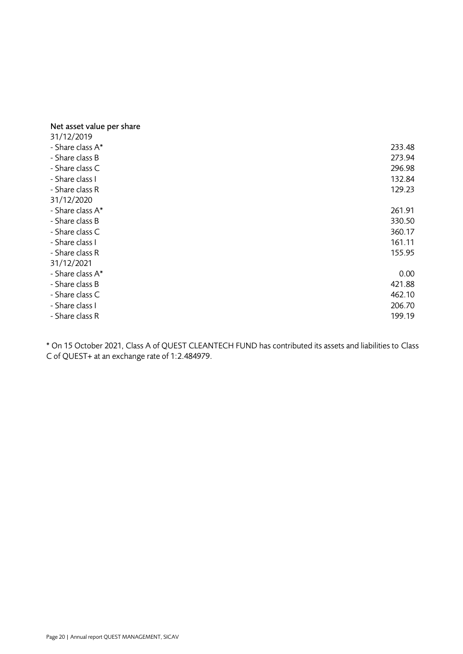### Net asset value per share

| 31/12/2019       |        |
|------------------|--------|
| - Share class A* | 233.48 |
| - Share class B  | 273.94 |
| - Share class C  | 296.98 |
| - Share class I  | 132.84 |
| - Share class R  | 129.23 |
| 31/12/2020       |        |
| - Share class A* | 261.91 |
| - Share class B  | 330.50 |
| - Share class C  | 360.17 |
| - Share class I  | 161.11 |
| - Share class R  | 155.95 |
| 31/12/2021       |        |
| - Share class A* | 0.00   |
| - Share class B  | 421.88 |
| - Share class C  | 462.10 |
| - Share class I  | 206.70 |
| - Share class R  | 199.19 |

\* On 15 October 2021, Class A of QUEST CLEANTECH FUND has contributed its assets and liabilities to Class C of QUEST+ at an exchange rate of 1:2.484979.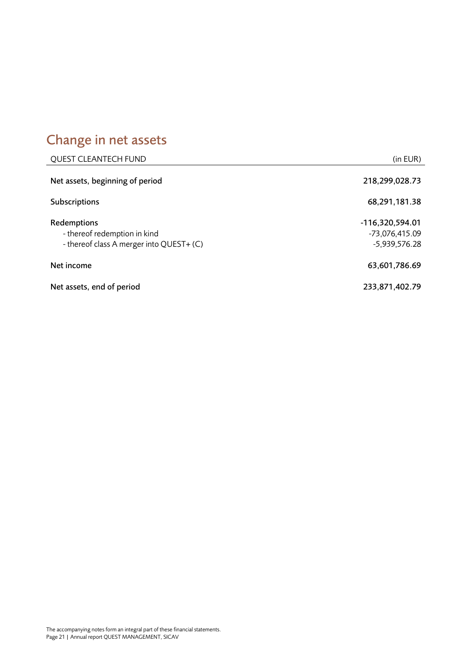# <span id="page-20-0"></span>Change in net assets

| <b>QUEST CLEANTECH FUND</b>                                                             | (in EUR)                                           |
|-----------------------------------------------------------------------------------------|----------------------------------------------------|
| Net assets, beginning of period                                                         | 218,299,028.73                                     |
| Subscriptions                                                                           | 68,291,181.38                                      |
| Redemptions<br>- thereof redemption in kind<br>- thereof class A merger into QUEST+ (C) | -116,320,594.01<br>-73,076,415.09<br>-5,939,576.28 |
| Net income                                                                              | 63,601,786.69                                      |
| Net assets, end of period                                                               | 233,871,402.79                                     |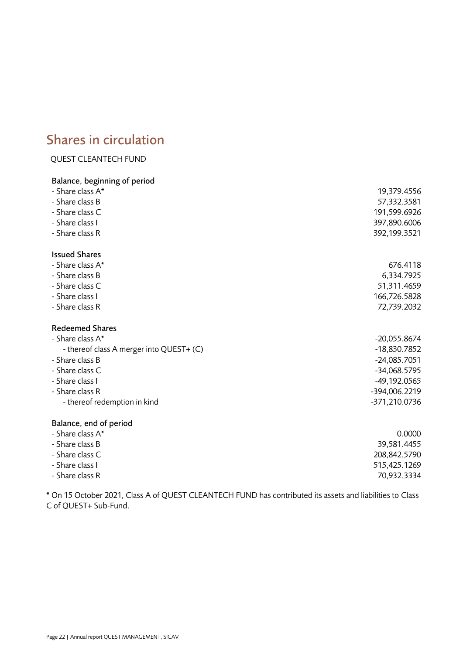### <span id="page-21-0"></span>Shares in circulation

### QUEST CLEANTECH FUND

| Balance, beginning of period             |                |
|------------------------------------------|----------------|
| - Share class A*                         | 19,379.4556    |
| - Share class B                          | 57,332.3581    |
| - Share class C                          | 191,599.6926   |
| - Share class I                          | 397,890.6006   |
| - Share class R                          | 392,199.3521   |
| <b>Issued Shares</b>                     |                |
| - Share class A*                         | 676.4118       |
| - Share class B                          | 6,334.7925     |
| - Share class C                          | 51,311.4659    |
| - Share class I                          | 166,726.5828   |
| - Share class R                          | 72,739.2032    |
| <b>Redeemed Shares</b>                   |                |
| - Share class A*                         | $-20,055.8674$ |
| - thereof class A merger into QUEST+ (C) | -18,830.7852   |
| - Share class B                          | $-24,085.7051$ |
| - Share class C                          | -34,068.5795   |
| - Share class I                          | -49,192.0565   |
| - Share class R                          | -394,006.2219  |
| - thereof redemption in kind             | -371,210.0736  |
| Balance, end of period                   |                |
| - Share class A*                         | 0.0000         |
| - Share class B                          | 39,581.4455    |
| - Share class C                          | 208,842.5790   |
| - Share class I                          | 515,425.1269   |

- Share class R 70,932.3334

\* On 15 October 2021, Class A of QUEST CLEANTECH FUND has contributed its assets and liabilities to Class C of QUEST+ Sub-Fund.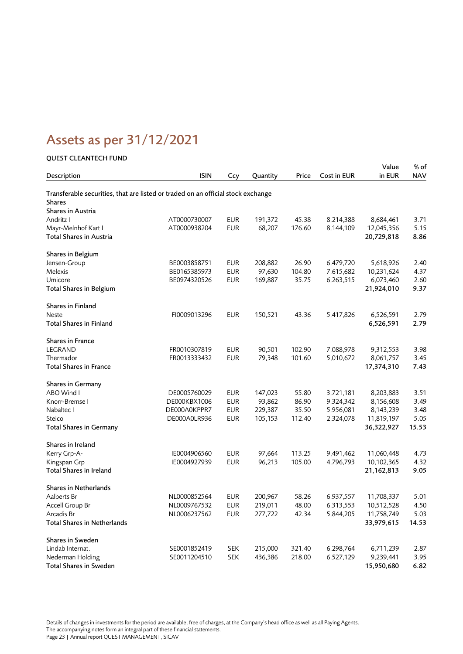## <span id="page-22-0"></span>Assets as per 31/12/2021

### QUEST CLEANTECH FUND

|                                                                                  |              |            |          |        |             | Value      | % of       |
|----------------------------------------------------------------------------------|--------------|------------|----------|--------|-------------|------------|------------|
| Description                                                                      | <b>ISIN</b>  | Ccy        | Quantity | Price  | Cost in EUR | in EUR     | <b>NAV</b> |
| Transferable securities, that are listed or traded on an official stock exchange |              |            |          |        |             |            |            |
| <b>Shares</b>                                                                    |              |            |          |        |             |            |            |
| Shares in Austria                                                                |              |            |          |        |             |            |            |
| Andritz I                                                                        | AT0000730007 | <b>EUR</b> | 191,372  | 45.38  | 8,214,388   | 8,684,461  | 3.71       |
| Mayr-Melnhof Kart I                                                              | AT0000938204 | <b>EUR</b> | 68,207   | 176.60 | 8,144,109   | 12,045,356 | 5.15       |
| Total Shares in Austria                                                          |              |            |          |        |             | 20,729,818 | 8.86       |
| Shares in Belgium                                                                |              |            |          |        |             |            |            |
| Jensen-Group                                                                     | BE0003858751 | <b>EUR</b> | 208,882  | 26.90  | 6,479,720   | 5,618,926  | 2.40       |
| Melexis                                                                          | BE0165385973 | <b>EUR</b> | 97,630   | 104.80 | 7,615,682   | 10,231,624 | 4.37       |
| Umicore                                                                          | BE0974320526 | <b>EUR</b> | 169,887  | 35.75  | 6,263,515   | 6,073,460  | 2.60       |
| Total Shares in Belgium                                                          |              |            |          |        |             | 21,924,010 | 9.37       |
| Shares in Finland                                                                |              |            |          |        |             |            |            |
| Neste                                                                            | FI0009013296 | <b>EUR</b> | 150,521  | 43.36  | 5,417,826   | 6,526,591  | 2.79       |
| <b>Total Shares in Finland</b>                                                   |              |            |          |        |             | 6,526,591  | 2.79       |
| <b>Shares in France</b>                                                          |              |            |          |        |             |            |            |
| LEGRAND                                                                          | FR0010307819 | <b>EUR</b> | 90,501   | 102.90 | 7,088,978   | 9,312,553  | 3.98       |
| Thermador                                                                        | FR0013333432 | <b>EUR</b> | 79,348   | 101.60 | 5,010,672   | 8,061,757  | 3.45       |
| <b>Total Shares in France</b>                                                    |              |            |          |        |             | 17,374,310 | 7.43       |
| <b>Shares in Germany</b>                                                         |              |            |          |        |             |            |            |
| ABO Wind I                                                                       | DE0005760029 | <b>EUR</b> | 147,023  | 55.80  | 3,721,181   | 8,203,883  | 3.51       |
| Knorr-Bremse I                                                                   | DE000KBX1006 | <b>EUR</b> | 93,862   | 86.90  | 9,324,342   | 8,156,608  | 3.49       |
| Nabaltec I                                                                       | DE000A0KPPR7 | <b>EUR</b> | 229,387  | 35.50  | 5,956,081   | 8,143,239  | 3.48       |
| Steico                                                                           | DE000A0LR936 | <b>EUR</b> | 105,153  | 112.40 | 2,324,078   | 11,819,197 | 5.05       |
| <b>Total Shares in Germany</b>                                                   |              |            |          |        |             | 36,322,927 | 15.53      |
| Shares in Ireland                                                                |              |            |          |        |             |            |            |
| Kerry Grp-A-                                                                     | IE0004906560 | <b>EUR</b> | 97,664   | 113.25 | 9,491,462   | 11,060,448 | 4.73       |
| Kingspan Grp                                                                     | IE0004927939 | <b>EUR</b> | 96,213   | 105.00 | 4,796,793   | 10,102,365 | 4.32       |
| Total Shares in Ireland                                                          |              |            |          |        |             | 21,162,813 | 9.05       |
| <b>Shares in Netherlands</b>                                                     |              |            |          |        |             |            |            |
| Aalberts Br                                                                      | NL0000852564 | <b>EUR</b> | 200,967  | 58.26  | 6,937,557   | 11,708,337 | 5.01       |
| Accell Group Br                                                                  | NL0009767532 | <b>EUR</b> | 219,011  | 48.00  | 6,313,553   | 10,512,528 | 4.50       |
| Arcadis Br                                                                       | NL0006237562 | <b>EUR</b> | 277,722  | 42.34  | 5,844,205   | 11,758,749 | 5.03       |
| Total Shares in Netherlands                                                      |              |            |          |        |             | 33,979,615 | 14.53      |
| <b>Shares in Sweden</b>                                                          |              |            |          |        |             |            |            |
| Lindab Internat.                                                                 | SE0001852419 | <b>SEK</b> | 215,000  | 321.40 | 6,298,764   | 6,711,239  | 2.87       |
| Nederman Holding                                                                 | SE0011204510 | <b>SEK</b> | 436,386  | 218.00 | 6,527,129   | 9,239,441  | 3.95       |
| Total Shares in Sweden                                                           |              |            |          |        |             | 15,950,680 | 6.82       |

Details of changes in investments for the period are available, free of charges, at the Company's head office as well as all Paying Agents. The accompanying notes form an integral part of these financial statements. Page 23 | Annual report QUEST MANAGEMENT, SICAV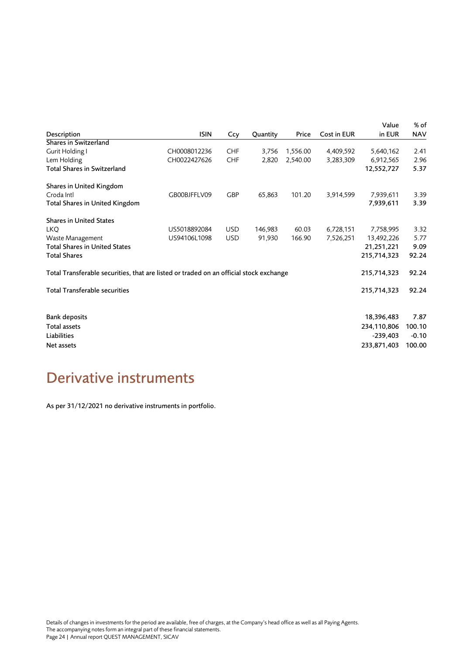| Description                                                                            | <b>ISIN</b>  | Ccy        | Quantity | Price    | Cost in EUR | Value<br>in EUR | % of<br><b>NAV</b> |
|----------------------------------------------------------------------------------------|--------------|------------|----------|----------|-------------|-----------------|--------------------|
| Shares in Switzerland                                                                  |              |            |          |          |             |                 |                    |
| Gurit Holding I                                                                        | CH0008012236 | <b>CHF</b> | 3,756    | 1,556.00 | 4,409,592   | 5,640,162       | 2.41               |
| Lem Holding                                                                            | CH0022427626 | <b>CHF</b> | 2,820    | 2,540.00 | 3,283,309   | 6,912,565       | 2.96               |
| Total Shares in Switzerland                                                            |              |            |          |          |             | 12,552,727      | 5.37               |
| Shares in United Kingdom                                                               |              |            |          |          |             |                 |                    |
| Croda Intl                                                                             | GB00BJFFLV09 | <b>GBP</b> | 65,863   | 101.20   | 3,914,599   | 7,939,611       | 3.39               |
| Total Shares in United Kingdom                                                         |              |            |          |          |             | 7,939,611       | 3.39               |
| <b>Shares in United States</b>                                                         |              |            |          |          |             |                 |                    |
| <b>LKO</b>                                                                             | US5018892084 | <b>USD</b> | 146,983  | 60.03    | 6,728,151   | 7,758,995       | 3.32               |
| Waste Management                                                                       | US94106L1098 | <b>USD</b> | 91,930   | 166.90   | 7,526,251   | 13,492,226      | 5.77               |
| <b>Total Shares in United States</b>                                                   |              |            |          |          |             | 21,251,221      | 9.09               |
| <b>Total Shares</b>                                                                    |              |            |          |          |             | 215,714,323     | 92.24              |
| Total Transferable securities, that are listed or traded on an official stock exchange |              |            |          |          |             | 215,714,323     | 92.24              |
| <b>Total Transferable securities</b>                                                   |              |            |          |          |             | 215,714,323     | 92.24              |
|                                                                                        |              |            |          |          |             |                 |                    |
| <b>Bank deposits</b>                                                                   |              |            |          |          |             | 18,396,483      | 7.87               |
| Total assets                                                                           |              |            |          |          |             | 234,110,806     | 100.10             |
| Liabilities                                                                            |              |            |          |          |             | $-239,403$      | $-0.10$            |
| Net assets                                                                             |              |            |          |          |             | 233,871,403     | 100.00             |
|                                                                                        |              |            |          |          |             |                 |                    |

### <span id="page-23-0"></span>Derivative instruments

As per 31/12/2021 no derivative instruments in portfolio.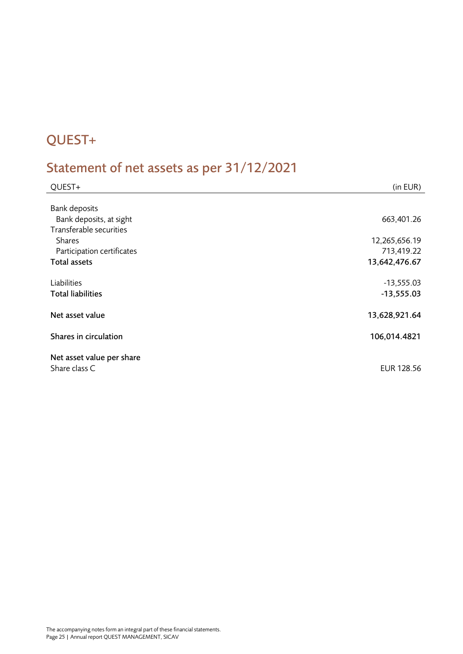### <span id="page-24-0"></span>QUEST+

## <span id="page-24-1"></span>Statement of net assets as per 31/12/2021

| QUEST+                     | (in EUR)      |
|----------------------------|---------------|
|                            |               |
| <b>Bank deposits</b>       |               |
| Bank deposits, at sight    | 663,401.26    |
| Transferable securities    |               |
| <b>Shares</b>              | 12,265,656.19 |
| Participation certificates | 713,419.22    |
| <b>Total assets</b>        | 13,642,476.67 |
|                            |               |
| Liabilities                | $-13,555.03$  |
| <b>Total liabilities</b>   | $-13,555.03$  |
| Net asset value            | 13,628,921.64 |
|                            |               |
| Shares in circulation      | 106,014.4821  |
| Net asset value per share  |               |
| Share class C              |               |
|                            | EUR 128.56    |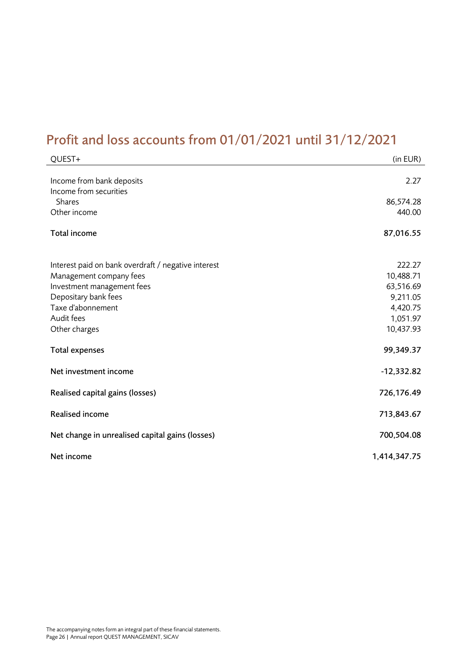### <span id="page-25-0"></span>Profit and loss accounts from 01/01/2021 until 31/12/2021

| QUEST+                                                                                                                                                                                   | (in EUR)                                                                          |
|------------------------------------------------------------------------------------------------------------------------------------------------------------------------------------------|-----------------------------------------------------------------------------------|
| Income from bank deposits<br>Income from securities<br>Shares                                                                                                                            | 2.27<br>86,574.28                                                                 |
| Other income                                                                                                                                                                             | 440.00                                                                            |
| Total income                                                                                                                                                                             | 87,016.55                                                                         |
| Interest paid on bank overdraft / negative interest<br>Management company fees<br>Investment management fees<br>Depositary bank fees<br>Taxe d'abonnement<br>Audit fees<br>Other charges | 222.27<br>10,488.71<br>63,516.69<br>9,211.05<br>4,420.75<br>1,051.97<br>10,437.93 |
| <b>Total expenses</b>                                                                                                                                                                    | 99,349.37                                                                         |
| Net investment income                                                                                                                                                                    | $-12,332.82$                                                                      |
| Realised capital gains (losses)                                                                                                                                                          | 726,176.49                                                                        |
| <b>Realised income</b>                                                                                                                                                                   | 713,843.67                                                                        |
| Net change in unrealised capital gains (losses)                                                                                                                                          | 700,504.08                                                                        |
| Net income                                                                                                                                                                               | 1,414,347.75                                                                      |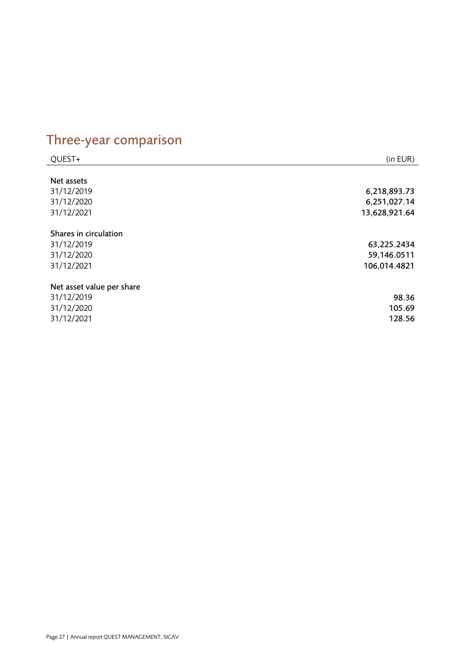# <span id="page-26-0"></span>Three-year comparison

| QUEST+                    | (in EUR)      |
|---------------------------|---------------|
|                           |               |
| Net assets                |               |
| 31/12/2019                | 6,218,893.73  |
| 31/12/2020                | 6,251,027.14  |
| 31/12/2021                | 13,628,921.64 |
| Shares in circulation     |               |
| 31/12/2019                | 63,225.2434   |
| 31/12/2020                | 59,146.0511   |
| 31/12/2021                | 106,014.4821  |
| Net asset value per share |               |
| 31/12/2019                | 98.36         |
| 31/12/2020                | 105.69        |
| 31/12/2021                | 128.56        |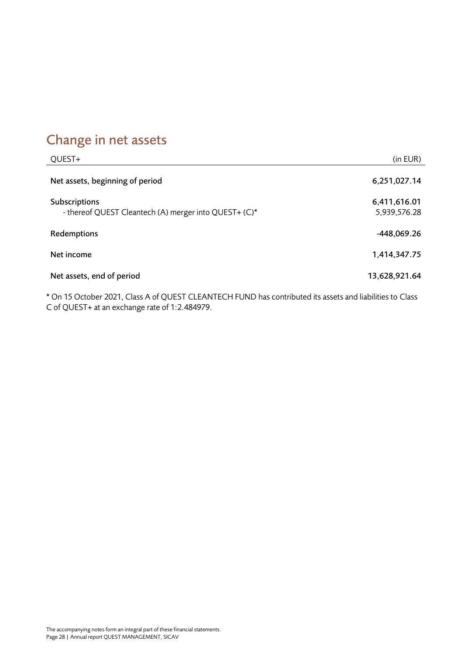### <span id="page-27-0"></span>Change in net assets

| QUEST+                                                                 | (in EUR)                     |
|------------------------------------------------------------------------|------------------------------|
| Net assets, beginning of period                                        | 6,251,027.14                 |
| Subscriptions<br>- thereof QUEST Cleantech (A) merger into QUEST+ (C)* | 6,411,616.01<br>5,939,576.28 |
| Redemptions                                                            | -448,069.26                  |
| Net income                                                             | 1,414,347.75                 |
| Net assets, end of period                                              | 13,628,921.64                |

\* On 15 October 2021, Class A of QUEST CLEANTECH FUND has contributed its assets and liabilities to Class C of QUEST+ at an exchange rate of 1:2.484979.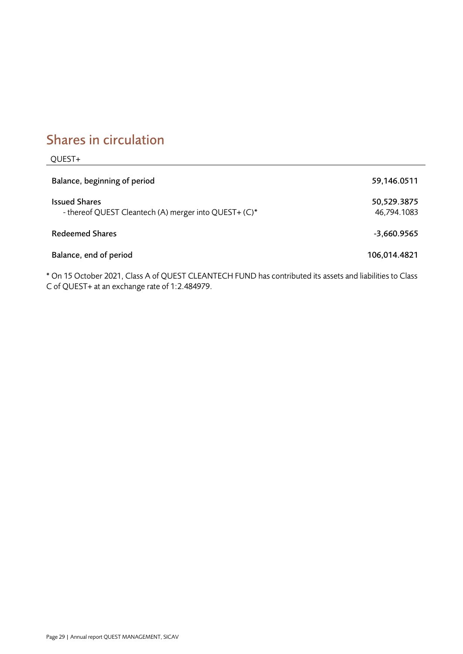### <span id="page-28-0"></span>Shares in circulation

| QUEST+                                                                        |                            |
|-------------------------------------------------------------------------------|----------------------------|
| Balance, beginning of period                                                  | 59,146.0511                |
| <b>Issued Shares</b><br>- thereof QUEST Cleantech (A) merger into QUEST+ (C)* | 50,529.3875<br>46,794.1083 |
| <b>Redeemed Shares</b>                                                        | -3,660.9565                |
| Balance, end of period                                                        | 106,014.4821               |

\* On 15 October 2021, Class A of QUEST CLEANTECH FUND has contributed its assets and liabilities to Class C of QUEST+ at an exchange rate of 1:2.484979.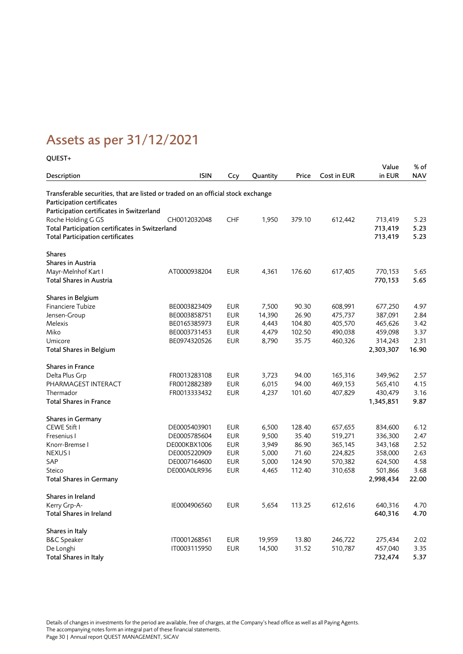## <span id="page-29-0"></span>Assets as per 31/12/2021

### QUEST+

| Description                                                                      | <b>ISIN</b>  | Ccy        | Quantity | Price  | Cost in EUR | Value<br>in EUR | % of<br><b>NAV</b> |
|----------------------------------------------------------------------------------|--------------|------------|----------|--------|-------------|-----------------|--------------------|
| Transferable securities, that are listed or traded on an official stock exchange |              |            |          |        |             |                 |                    |
| Participation certificates                                                       |              |            |          |        |             |                 |                    |
| Participation certificates in Switzerland                                        |              |            |          |        |             |                 |                    |
| Roche Holding G GS                                                               | CH0012032048 | <b>CHF</b> | 1,950    | 379.10 | 612,442     | 713,419         | 5.23               |
| Total Participation certificates in Switzerland                                  |              |            |          |        |             | 713,419         | 5.23               |
| <b>Total Participation certificates</b>                                          |              |            |          |        |             | 713,419         | 5.23               |
| <b>Shares</b>                                                                    |              |            |          |        |             |                 |                    |
| Shares in Austria                                                                |              |            |          |        |             |                 |                    |
| Mayr-Melnhof Kart I                                                              | AT0000938204 | <b>EUR</b> | 4,361    | 176.60 | 617,405     | 770,153         | 5.65               |
| Total Shares in Austria                                                          |              |            |          |        |             | 770,153         | 5.65               |
| Shares in Belgium                                                                |              |            |          |        |             |                 |                    |
| Financiere Tubize                                                                | BE0003823409 | <b>EUR</b> | 7,500    | 90.30  | 608,991     | 677,250         | 4.97               |
| Jensen-Group                                                                     | BE0003858751 | <b>EUR</b> | 14,390   | 26.90  | 475,737     | 387,091         | 2.84               |
| Melexis                                                                          | BE0165385973 | <b>EUR</b> | 4,443    | 104.80 | 405,570     | 465,626         | 3.42               |
| Miko                                                                             | BE0003731453 | <b>EUR</b> | 4,479    | 102.50 | 490,038     | 459,098         | 3.37               |
| Umicore                                                                          | BE0974320526 | <b>EUR</b> | 8,790    | 35.75  | 460,326     | 314,243         | 2.31               |
| <b>Total Shares in Belgium</b>                                                   |              |            |          |        |             | 2,303,307       | 16.90              |
| Shares in France                                                                 |              |            |          |        |             |                 |                    |
| Delta Plus Grp                                                                   | FR0013283108 | <b>EUR</b> | 3,723    | 94.00  | 165,316     | 349,962         | 2.57               |
| PHARMAGEST INTERACT                                                              | FR0012882389 | <b>EUR</b> | 6,015    | 94.00  | 469,153     | 565,410         | 4.15               |
| Thermador                                                                        | FR0013333432 | <b>EUR</b> | 4,237    | 101.60 | 407,829     | 430,479         | 3.16               |
| <b>Total Shares in France</b>                                                    |              |            |          |        |             | 1,345,851       | 9.87               |
| <b>Shares in Germany</b>                                                         |              |            |          |        |             |                 |                    |
| CEWE Stift I                                                                     | DE0005403901 | <b>EUR</b> | 6,500    | 128.40 | 657,655     | 834,600         | 6.12               |
| Fresenius I                                                                      | DE0005785604 | <b>EUR</b> | 9,500    | 35.40  | 519,271     | 336,300         | 2.47               |
| Knorr-Bremse I                                                                   | DE000KBX1006 | <b>EUR</b> | 3,949    | 86.90  | 365,145     | 343,168         | 2.52               |
| <b>NEXUS<sub>I</sub></b>                                                         | DE0005220909 | <b>EUR</b> | 5,000    | 71.60  | 224,825     | 358,000         | 2.63               |
| SAP                                                                              | DE0007164600 | <b>EUR</b> | 5,000    | 124.90 | 570,382     | 624,500         | 4.58               |
| Steico                                                                           | DE000A0LR936 | <b>EUR</b> | 4,465    | 112.40 | 310,658     | 501,866         | 3.68               |
| <b>Total Shares in Germany</b>                                                   |              |            |          |        |             | 2,998,434       | 22.00              |
| Shares in Ireland                                                                |              |            |          |        |             |                 |                    |
| Kerry Grp-A-                                                                     | IE0004906560 | <b>EUR</b> | 5,654    | 113.25 | 612,616     | 640,316         | 4.70               |
| <b>Total Shares in Ireland</b>                                                   |              |            |          |        |             | 640,316         | 4.70               |
| Shares in Italy                                                                  |              |            |          |        |             |                 |                    |
| <b>B&amp;C</b> Speaker                                                           | IT0001268561 | EUR        | 19,959   | 13.80  | 246,722     | 275,434         | 2.02               |
| De Longhi                                                                        | IT0003115950 | <b>EUR</b> | 14,500   | 31.52  | 510,787     | 457,040         | 3.35               |
| Total Shares in Italy                                                            |              |            |          |        |             | 732,474         | 5.37               |

Details of changes in investments for the period are available, free of charges, at the Company's head office as well as all Paying Agents. The accompanying notes form an integral part of these financial statements. Page 30 | Annual report QUEST MANAGEMENT, SICAV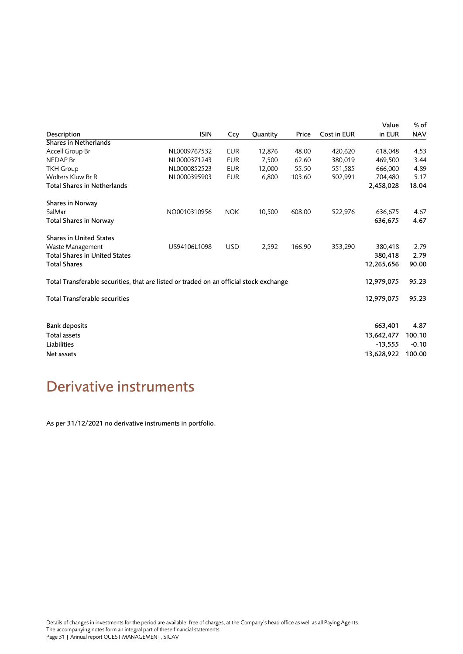|                                                                                        |              |            |          |        |             | Value      | % of       |
|----------------------------------------------------------------------------------------|--------------|------------|----------|--------|-------------|------------|------------|
| Description                                                                            | <b>ISIN</b>  | Ccy        | Quantity | Price  | Cost in EUR | in EUR     | <b>NAV</b> |
| Shares in Netherlands                                                                  |              |            |          |        |             |            |            |
| Accell Group Br                                                                        | NL0009767532 | <b>EUR</b> | 12,876   | 48.00  | 420,620     | 618,048    | 4.53       |
| <b>NEDAP</b> Br                                                                        | NL0000371243 | <b>EUR</b> | 7,500    | 62.60  | 380,019     | 469,500    | 3.44       |
| <b>TKH Group</b>                                                                       | NL0000852523 | <b>EUR</b> | 12,000   | 55.50  | 551,585     | 666,000    | 4.89       |
| Wolters Kluw Br R                                                                      | NL0000395903 | <b>EUR</b> | 6,800    | 103.60 | 502,991     | 704,480    | 5.17       |
| Total Shares in Netherlands                                                            |              |            |          |        |             | 2,458,028  | 18.04      |
| Shares in Norway                                                                       |              |            |          |        |             |            |            |
| SalMar                                                                                 | NO0010310956 | <b>NOK</b> | 10,500   | 608.00 | 522,976     | 636,675    | 4.67       |
| <b>Total Shares in Norway</b>                                                          |              |            |          |        |             | 636,675    | 4.67       |
| <b>Shares in United States</b>                                                         |              |            |          |        |             |            |            |
| Waste Management                                                                       | US94106L1098 | <b>USD</b> | 2,592    | 166.90 | 353,290     | 380,418    | 2.79       |
| <b>Total Shares in United States</b>                                                   |              |            |          |        |             | 380,418    | 2.79       |
| <b>Total Shares</b>                                                                    |              |            |          |        |             | 12,265,656 | 90.00      |
| Total Transferable securities, that are listed or traded on an official stock exchange |              |            |          |        |             | 12,979,075 | 95.23      |
| <b>Total Transferable securities</b>                                                   |              |            |          |        |             | 12,979,075 | 95.23      |
|                                                                                        |              |            |          |        |             |            |            |
| <b>Bank deposits</b>                                                                   |              |            |          |        |             | 663,401    | 4.87       |
| <b>Total assets</b>                                                                    |              |            |          |        |             | 13,642,477 | 100.10     |
| Liabilities                                                                            |              |            |          |        |             | $-13,555$  | $-0.10$    |
| Net assets                                                                             |              |            |          |        |             | 13,628,922 | 100.00     |
|                                                                                        |              |            |          |        |             |            |            |

### <span id="page-30-0"></span>Derivative instruments

As per 31/12/2021 no derivative instruments in portfolio.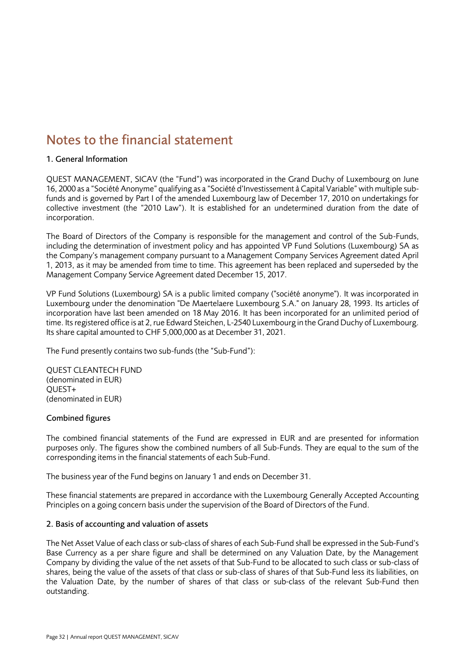### <span id="page-31-0"></span>Notes to the financial statement

### 1. General Information

QUEST MANAGEMENT, SICAV (the "Fund") was incorporated in the Grand Duchy of Luxembourg on June 16, 2000 as a "Société Anonyme" qualifying as a "Société d'Investissement à Capital Variable" with multiple subfunds and is governed by Part I of the amended Luxembourg law of December 17, 2010 on undertakings for collective investment (the "2010 Law"). It is established for an undetermined duration from the date of incorporation.

The Board of Directors of the Company is responsible for the management and control of the Sub-Funds, including the determination of investment policy and has appointed VP Fund Solutions (Luxembourg) SA as the Company's management company pursuant to a Management Company Services Agreement dated April 1, 2013, as it may be amended from time to time. This agreement has been replaced and superseded by the Management Company Service Agreement dated December 15, 2017.

VP Fund Solutions (Luxembourg) SA is a public limited company ("société anonyme"). It was incorporated in Luxembourg under the denomination "De Maertelaere Luxembourg S.A." on January 28, 1993. Its articles of incorporation have last been amended on 18 May 2016. It has been incorporated for an unlimited period of time. Its registered office is at 2, rue Edward Steichen, L-2540 Luxembourg in the Grand Duchy of Luxembourg. Its share capital amounted to CHF 5,000,000 as at December 31, 2021.

The Fund presently contains two sub-funds (the "Sub-Fund"):

QUEST CLEANTECH FUND (denominated in EUR) QUEST+ (denominated in EUR)

### Combined figures

The combined financial statements of the Fund are expressed in EUR and are presented for information purposes only. The figures show the combined numbers of all Sub-Funds. They are equal to the sum of the corresponding items in the financial statements of each Sub-Fund.

The business year of the Fund begins on January 1 and ends on December 31.

These financial statements are prepared in accordance with the Luxembourg Generally Accepted Accounting Principles on a going concern basis under the supervision of the Board of Directors of the Fund.

### 2. Basis of accounting and valuation of assets

The Net Asset Value of each class or sub-class of shares of each Sub-Fund shall be expressed in the Sub-Fund's Base Currency as a per share figure and shall be determined on any Valuation Date, by the Management Company by dividing the value of the net assets of that Sub-Fund to be allocated to such class or sub-class of shares, being the value of the assets of that class or sub-class of shares of that Sub-Fund less its liabilities, on the Valuation Date, by the number of shares of that class or sub-class of the relevant Sub-Fund then outstanding.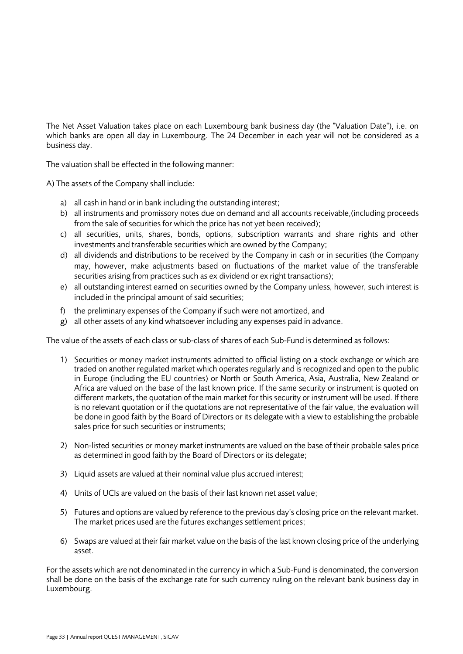The Net Asset Valuation takes place on each Luxembourg bank business day (the "Valuation Date"), i.e. on which banks are open all day in Luxembourg. The 24 December in each year will not be considered as a business day.

The valuation shall be effected in the following manner:

A) The assets of the Company shall include:

- a) all cash in hand or in bank including the outstanding interest;
- b) all instruments and promissory notes due on demand and all accounts receivable,(including proceeds from the sale of securities for which the price has not yet been received);
- c) all securities, units, shares, bonds, options, subscription warrants and share rights and other investments and transferable securities which are owned by the Company;
- d) all dividends and distributions to be received by the Company in cash or in securities (the Company may, however, make adjustments based on fluctuations of the market value of the transferable securities arising from practices such as ex dividend or ex right transactions);
- e) all outstanding interest earned on securities owned by the Company unless, however, such interest is included in the principal amount of said securities;
- f) the preliminary expenses of the Company if such were not amortized, and
- g) all other assets of any kind whatsoever including any expenses paid in advance.

The value of the assets of each class or sub-class of shares of each Sub-Fund is determined as follows:

- 1) Securities or money market instruments admitted to official listing on a stock exchange or which are traded on another regulated market which operates regularly and is recognized and open to the public in Europe (including the EU countries) or North or South America, Asia, Australia, New Zealand or Africa are valued on the base of the last known price. If the same security or instrument is quoted on different markets, the quotation of the main market for this security or instrument will be used. If there is no relevant quotation or if the quotations are not representative of the fair value, the evaluation will be done in good faith by the Board of Directors or its delegate with a view to establishing the probable sales price for such securities or instruments;
- 2) Non-listed securities or money market instruments are valued on the base of their probable sales price as determined in good faith by the Board of Directors or its delegate;
- 3) Liquid assets are valued at their nominal value plus accrued interest;
- 4) Units of UCIs are valued on the basis of their last known net asset value;
- 5) Futures and options are valued by reference to the previous day's closing price on the relevant market. The market prices used are the futures exchanges settlement prices;
- 6) Swaps are valued at their fair market value on the basis of the last known closing price of the underlying asset.

For the assets which are not denominated in the currency in which a Sub-Fund is denominated, the conversion shall be done on the basis of the exchange rate for such currency ruling on the relevant bank business day in Luxembourg.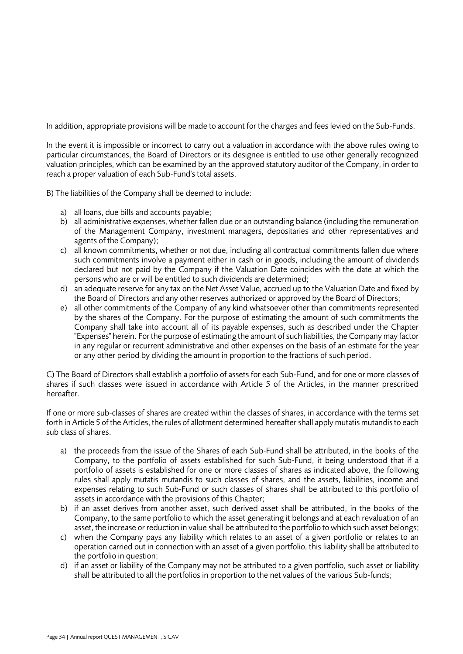In addition, appropriate provisions will be made to account for the charges and fees levied on the Sub-Funds.

In the event it is impossible or incorrect to carry out a valuation in accordance with the above rules owing to particular circumstances, the Board of Directors or its designee is entitled to use other generally recognized valuation principles, which can be examined by an the approved statutory auditor of the Company, in order to reach a proper valuation of each Sub-Fund's total assets.

B) The liabilities of the Company shall be deemed to include:

- a) all loans, due bills and accounts payable;
- b) all administrative expenses, whether fallen due or an outstanding balance (including the remuneration of the Management Company, investment managers, depositaries and other representatives and agents of the Company);
- c) all known commitments, whether or not due, including all contractual commitments fallen due where such commitments involve a payment either in cash or in goods, including the amount of dividends declared but not paid by the Company if the Valuation Date coincides with the date at which the persons who are or will be entitled to such dividends are determined;
- d) an adequate reserve for any tax on the Net Asset Value, accrued up to the Valuation Date and fixed by the Board of Directors and any other reserves authorized or approved by the Board of Directors;
- e) all other commitments of the Company of any kind whatsoever other than commitments represented by the shares of the Company. For the purpose of estimating the amount of such commitments the Company shall take into account all of its payable expenses, such as described under the Chapter "Expenses" herein. For the purpose of estimating the amount of such liabilities, the Company may factor in any regular or recurrent administrative and other expenses on the basis of an estimate for the year or any other period by dividing the amount in proportion to the fractions of such period.

C) The Board of Directors shall establish a portfolio of assets for each Sub-Fund, and for one or more classes of shares if such classes were issued in accordance with Article 5 of the Articles, in the manner prescribed hereafter.

If one or more sub-classes of shares are created within the classes of shares, in accordance with the terms set forth in Article 5 of the Articles, the rules of allotment determined hereafter shall apply mutatis mutandis to each sub class of shares.

- a) the proceeds from the issue of the Shares of each Sub-Fund shall be attributed, in the books of the Company, to the portfolio of assets established for such Sub-Fund, it being understood that if a portfolio of assets is established for one or more classes of shares as indicated above, the following rules shall apply mutatis mutandis to such classes of shares, and the assets, liabilities, income and expenses relating to such Sub-Fund or such classes of shares shall be attributed to this portfolio of assets in accordance with the provisions of this Chapter;
- b) if an asset derives from another asset, such derived asset shall be attributed, in the books of the Company, to the same portfolio to which the asset generating it belongs and at each revaluation of an asset, the increase or reduction in value shall be attributed to the portfolio to which such asset belongs;
- c) when the Company pays any liability which relates to an asset of a given portfolio or relates to an operation carried out in connection with an asset of a given portfolio, this liability shall be attributed to the portfolio in question;
- d) if an asset or liability of the Company may not be attributed to a given portfolio, such asset or liability shall be attributed to all the portfolios in proportion to the net values of the various Sub-funds;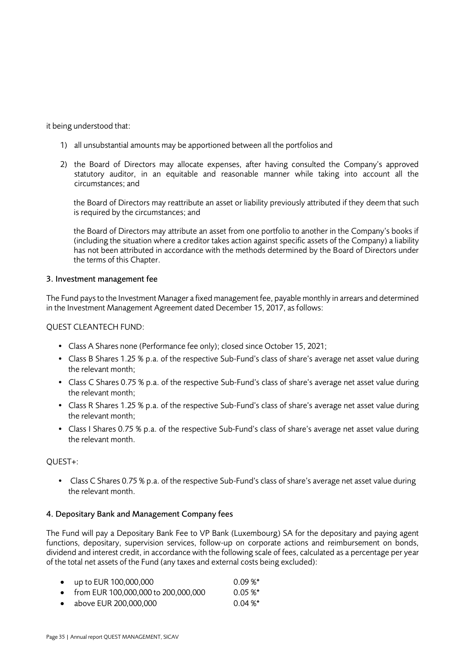it being understood that:

- 1) all unsubstantial amounts may be apportioned between all the portfolios and
- 2) the Board of Directors may allocate expenses, after having consulted the Company's approved statutory auditor, in an equitable and reasonable manner while taking into account all the circumstances; and

the Board of Directors may reattribute an asset or liability previously attributed if they deem that such is required by the circumstances; and

the Board of Directors may attribute an asset from one portfolio to another in the Company's books if (including the situation where a creditor takes action against specific assets of the Company) a liability has not been attributed in accordance with the methods determined by the Board of Directors under the terms of this Chapter.

### 3. Investment management fee

The Fund pays to the Investment Manager a fixed management fee, payable monthly in arrears and determined in the Investment Management Agreement dated December 15, 2017, as follows:

QUEST CLEANTECH FUND:

- Class A Shares none (Performance fee only); closed since October 15, 2021;
- Class B Shares 1.25 % p.a. of the respective Sub-Fund's class of share's average net asset value during the relevant month;
- Class C Shares 0.75 % p.a. of the respective Sub-Fund's class of share's average net asset value during the relevant month;
- Class R Shares 1.25 % p.a. of the respective Sub-Fund's class of share's average net asset value during the relevant month;
- Class I Shares 0.75 % p.a. of the respective Sub-Fund's class of share's average net asset value during the relevant month.

### QUEST+:

• Class C Shares 0.75 % p.a. of the respective Sub-Fund's class of share's average net asset value during the relevant month.

### 4. Depositary Bank and Management Company fees

The Fund will pay a Depositary Bank Fee to VP Bank (Luxembourg) SA for the depositary and paying agent functions, depositary, supervision services, follow-up on corporate actions and reimbursement on bonds, dividend and interest credit, in accordance with the following scale of fees, calculated as a percentage per year of the total net assets of the Fund (any taxes and external costs being excluded):

|           | • up to EUR $100,000,000$             | $0.09\%$ * |
|-----------|---------------------------------------|------------|
|           | • from EUR 100,000,000 to 200,000,000 | $0.05 \%$  |
| $\bullet$ | above EUR 200,000,000                 | $0.04\%$ * |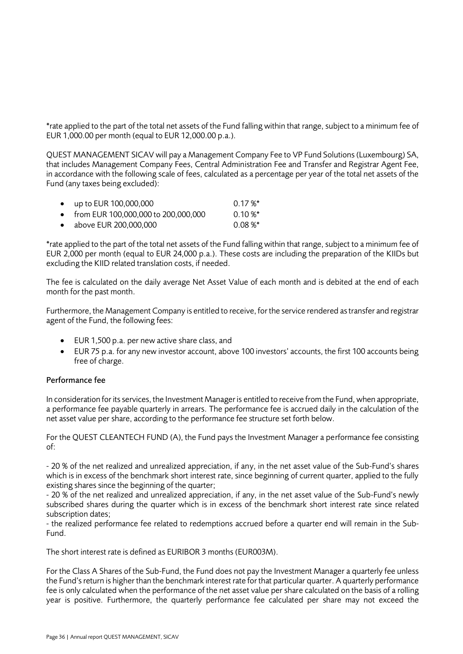\*rate applied to the part of the total net assets of the Fund falling within that range, subject to a minimum fee of EUR 1,000.00 per month (equal to EUR 12,000.00 p.a.).

QUEST MANAGEMENT SICAV will pay a Management Company Fee to VP Fund Solutions (Luxembourg) SA, that includes Management Company Fees, Central Administration Fee and Transfer and Registrar Agent Fee, in accordance with the following scale of fees, calculated as a percentage per year of the total net assets of the Fund (any taxes being excluded):

| • $up to EUR 100,000,000$             | $0.17\%$ *   |
|---------------------------------------|--------------|
| • from EUR 100,000,000 to 200,000,000 | $0.10 \%$    |
| • above EUR 200,000,000               | $0.08\,\%^*$ |

\*rate applied to the part of the total net assets of the Fund falling within that range, subject to a minimum fee of EUR 2,000 per month (equal to EUR 24,000 p.a.). These costs are including the preparation of the KIIDs but excluding the KIID related translation costs, if needed.

The fee is calculated on the daily average Net Asset Value of each month and is debited at the end of each month for the past month.

Furthermore, the Management Company is entitled to receive, for the service rendered as transfer and registrar agent of the Fund, the following fees:

- EUR 1,500 p.a. per new active share class, and
- EUR 75 p.a. for any new investor account, above 100 investors' accounts, the first 100 accounts being free of charge.

### Performance fee

In consideration for its services, the Investment Manager is entitled to receive from the Fund, when appropriate, a performance fee payable quarterly in arrears. The performance fee is accrued daily in the calculation of the net asset value per share, according to the performance fee structure set forth below.

For the QUEST CLEANTECH FUND (A), the Fund pays the Investment Manager a performance fee consisting of:

- 20 % of the net realized and unrealized appreciation, if any, in the net asset value of the Sub-Fund's shares which is in excess of the benchmark short interest rate, since beginning of current quarter, applied to the fully existing shares since the beginning of the quarter;

- 20 % of the net realized and unrealized appreciation, if any, in the net asset value of the Sub-Fund's newly subscribed shares during the quarter which is in excess of the benchmark short interest rate since related subscription dates;

- the realized performance fee related to redemptions accrued before a quarter end will remain in the Sub-Fund.

The short interest rate is defined as EURIBOR 3 months (EUR003M).

For the Class A Shares of the Sub-Fund, the Fund does not pay the Investment Manager a quarterly fee unless the Fund's return is higher than the benchmark interest rate for that particular quarter. A quarterly performance fee is only calculated when the performance of the net asset value per share calculated on the basis of a rolling year is positive. Furthermore, the quarterly performance fee calculated per share may not exceed the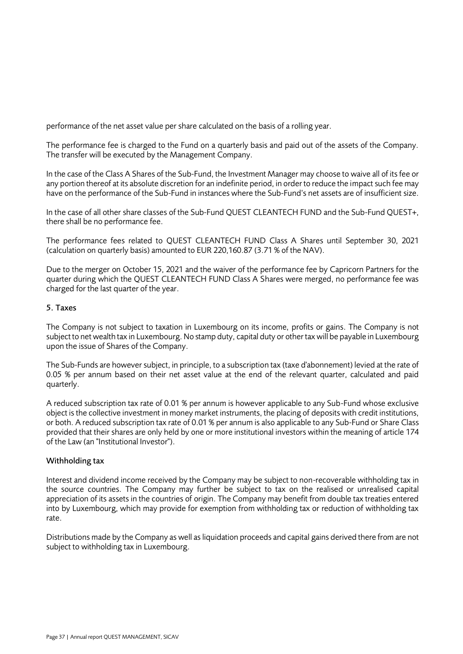performance of the net asset value per share calculated on the basis of a rolling year.

The performance fee is charged to the Fund on a quarterly basis and paid out of the assets of the Company. The transfer will be executed by the Management Company.

In the case of the Class A Shares of the Sub-Fund, the Investment Manager may choose to waive all of its fee or any portion thereof at its absolute discretion for an indefinite period, in order to reduce the impact such fee may have on the performance of the Sub-Fund in instances where the Sub-Fund's net assets are of insufficient size.

In the case of all other share classes of the Sub-Fund QUEST CLEANTECH FUND and the Sub-Fund QUEST+, there shall be no performance fee.

The performance fees related to QUEST CLEANTECH FUND Class A Shares until September 30, 2021 (calculation on quarterly basis) amounted to EUR 220,160.87 (3.71 % of the NAV).

Due to the merger on October 15, 2021 and the waiver of the performance fee by Capricorn Partners for the quarter during which the QUEST CLEANTECH FUND Class A Shares were merged, no performance fee was charged for the last quarter of the year.

### 5. Taxes

The Company is not subject to taxation in Luxembourg on its income, profits or gains. The Company is not subject to net wealth tax in Luxembourg. No stamp duty, capital duty or other tax will be payable in Luxembourg upon the issue of Shares of the Company.

The Sub-Funds are however subject, in principle, to a subscription tax (taxe d'abonnement) levied at the rate of 0.05 % per annum based on their net asset value at the end of the relevant quarter, calculated and paid quarterly.

A reduced subscription tax rate of 0.01 % per annum is however applicable to any Sub-Fund whose exclusive object is the collective investment in money market instruments, the placing of deposits with credit institutions, or both. A reduced subscription tax rate of 0.01 % per annum is also applicable to any Sub-Fund or Share Class provided that their shares are only held by one or more institutional investors within the meaning of article 174 of the Law (an "Institutional Investor").

### Withholding tax

Interest and dividend income received by the Company may be subject to non-recoverable withholding tax in the source countries. The Company may further be subject to tax on the realised or unrealised capital appreciation of its assets in the countries of origin. The Company may benefit from double tax treaties entered into by Luxembourg, which may provide for exemption from withholding tax or reduction of withholding tax rate.

Distributions made by the Company as well as liquidation proceeds and capital gains derived there from are not subject to withholding tax in Luxembourg.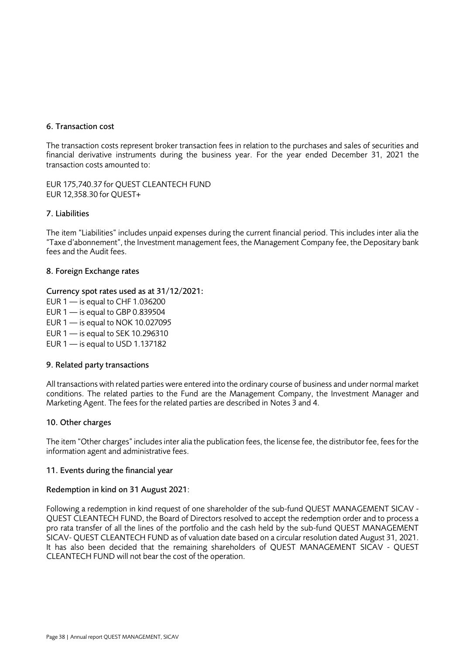### 6. Transaction cost

The transaction costs represent broker transaction fees in relation to the purchases and sales of securities and financial derivative instruments during the business year. For the year ended December 31, 2021 the transaction costs amounted to:

EUR 175,740.37 for QUEST CLEANTECH FUND EUR 12,358.30 for QUEST+

### 7. Liabilities

The item "Liabilities" includes unpaid expenses during the current financial period. This includes inter alia the "Taxe d'abonnement", the Investment management fees, the Management Company fee, the Depositary bank fees and the Audit fees.

### 8. Foreign Exchange rates

Currency spot rates used as at 31/12/2021:

EUR  $1 -$  is equal to CHF 1.036200

EUR  $1 -$  is equal to GBP 0.839504

EUR 1 — is equal to NOK 10.027095

EUR 1 — is equal to SEK 10.296310

EUR  $1 -$  is equal to USD 1.137182

### 9. Related party transactions

All transactions with related parties were entered into the ordinary course of business and under normal market conditions. The related parties to the Fund are the Management Company, the Investment Manager and Marketing Agent. The fees for the related parties are described in Notes 3 and 4.

### 10. Other charges

The item "Other charges" includes inter alia the publication fees, the license fee, the distributor fee, fees for the information agent and administrative fees.

### 11. Events during the financial year

### Redemption in kind on 31 August 2021:

Following a redemption in kind request of one shareholder of the sub-fund QUEST MANAGEMENT SICAV - QUEST CLEANTECH FUND, the Board of Directors resolved to accept the redemption order and to process a pro rata transfer of all the lines of the portfolio and the cash held by the sub-fund QUEST MANAGEMENT SICAV- QUEST CLEANTECH FUND as of valuation date based on a circular resolution dated August 31, 2021. It has also been decided that the remaining shareholders of QUEST MANAGEMENT SICAV - QUEST CLEANTECH FUND will not bear the cost of the operation.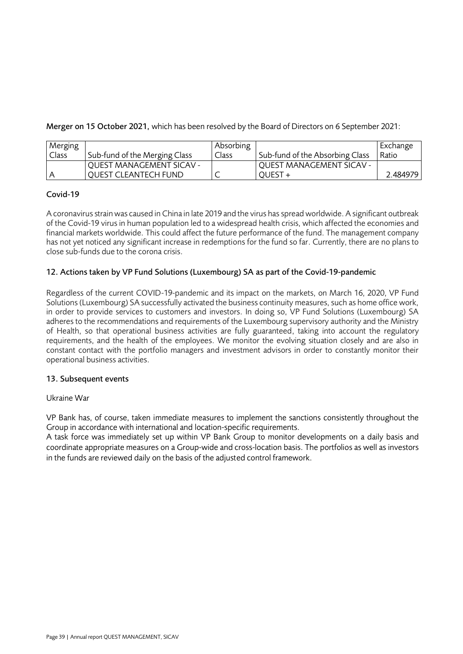Merger on 15 October 2021, which has been resolved by the Board of Directors on 6 September 2021:

| Merging |                               | Absorbing |                                 | Exchange |
|---------|-------------------------------|-----------|---------------------------------|----------|
| Class   | Sub-fund of the Merging Class | Class     | Sub-fund of the Absorbing Class | Ratio    |
|         | QUEST MANAGEMENT SICAV -      |           | <b>QUEST MANAGEMENT SICAV -</b> |          |
|         | <b>QUEST CLEANTECH FUND</b>   | ╰         | OUEST +                         | 2.484979 |

### Covid-19

A coronavirus strain was caused in China in late 2019 and the virus has spread worldwide. A significant outbreak of the Covid-19 virus in human population led to a widespread health crisis, which affected the economies and financial markets worldwide. This could affect the future performance of the fund. The management company has not yet noticed any significant increase in redemptions for the fund so far. Currently, there are no plans to close sub-funds due to the corona crisis.

### 12. Actions taken by VP Fund Solutions (Luxembourg) SA as part of the Covid-19-pandemic

Regardless of the current COVID-19-pandemic and its impact on the markets, on March 16, 2020, VP Fund Solutions (Luxembourg) SA successfully activated the business continuity measures, such as home office work, in order to provide services to customers and investors. In doing so, VP Fund Solutions (Luxembourg) SA adheres to the recommendations and requirements of the Luxembourg supervisory authority and the Ministry of Health, so that operational business activities are fully guaranteed, taking into account the regulatory requirements, and the health of the employees. We monitor the evolving situation closely and are also in constant contact with the portfolio managers and investment advisors in order to constantly monitor their operational business activities.

### 13. Subsequent events

### Ukraine War

VP Bank has, of course, taken immediate measures to implement the sanctions consistently throughout the Group in accordance with international and location-specific requirements.

A task force was immediately set up within VP Bank Group to monitor developments on a daily basis and coordinate appropriate measures on a Group-wide and cross-location basis. The portfolios as well as investors in the funds are reviewed daily on the basis of the adjusted control framework.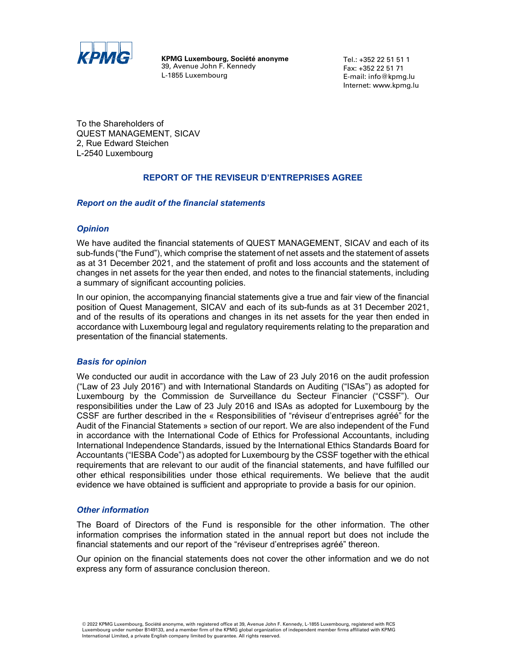

**KPMG Luxembourg, Société anonyme**  39, Avenue John F. Kennedy L-1855 Luxembourg

Tel.: +352 22 51 51 1 Fax: +352 22 51 71 E-mail: info@kpmg.lu Internet: www.kpmg.lu

<span id="page-39-0"></span>To the Shareholders of QUEST MANAGEMENT, SICAV 2, Rue Edward Steichen L-2540 Luxembourg

### **REPORT OF THE REVISEUR D'ENTREPRISES AGREE**

#### *Report on the audit of the financial statements*

#### *Opinion*

We have audited the financial statements of QUEST MANAGEMENT, SICAV and each of its sub-funds ("the Fund"), which comprise the statement of net assets and the statement of assets as at 31 December 2021, and the statement of profit and loss accounts and the statement of changes in net assets for the year then ended, and notes to the financial statements, including a summary of significant accounting policies.

In our opinion, the accompanying financial statements give a true and fair view of the financial position of Quest Management, SICAV and each of its sub-funds as at 31 December 2021, and of the results of its operations and changes in its net assets for the year then ended in accordance with Luxembourg legal and regulatory requirements relating to the preparation and presentation of the financial statements.

#### *Basis for opinion*

We conducted our audit in accordance with the Law of 23 July 2016 on the audit profession ("Law of 23 July 2016") and with International Standards on Auditing ("ISAs") as adopted for Luxembourg by the Commission de Surveillance du Secteur Financier ("CSSF"). Our responsibilities under the Law of 23 July 2016 and ISAs as adopted for Luxembourg by the CSSF are further described in the « Responsibilities of "réviseur d'entreprises agréé" for the Audit of the Financial Statements » section of our report. We are also independent of the Fund in accordance with the International Code of Ethics for Professional Accountants, including International Independence Standards, issued by the International Ethics Standards Board for Accountants ("IESBA Code") as adopted for Luxembourg by the CSSF together with the ethical requirements that are relevant to our audit of the financial statements, and have fulfilled our other ethical responsibilities under those ethical requirements. We believe that the audit evidence we have obtained is sufficient and appropriate to provide a basis for our opinion.

#### *Other information*

The Board of Directors of the Fund is responsible for the other information. The other information comprises the information stated in the annual report but does not include the financial statements and our report of the "réviseur d'entreprises agréé" thereon.

Our opinion on the financial statements does not cover the other information and we do not express any form of assurance conclusion thereon.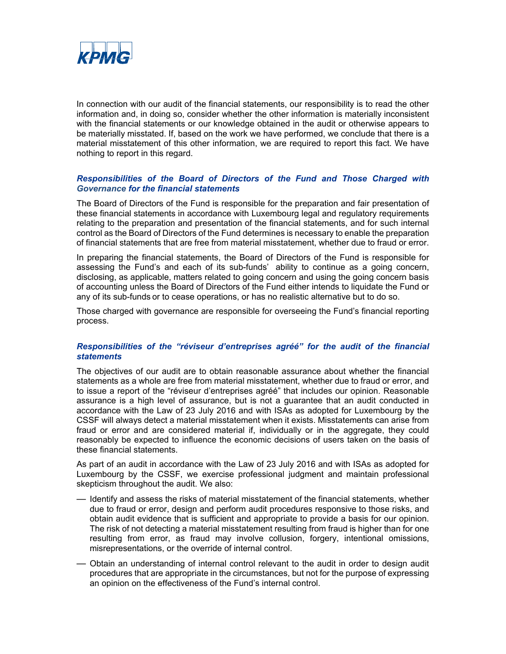

In connection with our audit of the financial statements, our responsibility is to read the other information and, in doing so, consider whether the other information is materially inconsistent with the financial statements or our knowledge obtained in the audit or otherwise appears to be materially misstated. If, based on the work we have performed, we conclude that there is a material misstatement of this other information, we are required to report this fact. We have nothing to report in this regard.

#### *Responsibilities of the Board of Directors of the Fund and Those Charged with Governance for the financial statements*

The Board of Directors of the Fund is responsible for the preparation and fair presentation of these financial statements in accordance with Luxembourg legal and regulatory requirements relating to the preparation and presentation of the financial statements, and for such internal control as the Board of Directors of the Fund determines is necessary to enable the preparation of financial statements that are free from material misstatement, whether due to fraud or error.

In preparing the financial statements, the Board of Directors of the Fund is responsible for assessing the Fund's and each of its sub-funds' ability to continue as a going concern, disclosing, as applicable, matters related to going concern and using the going concern basis of accounting unless the Board of Directors of the Fund either intends to liquidate the Fund or any of its sub-funds or to cease operations, or has no realistic alternative but to do so.

Those charged with governance are responsible for overseeing the Fund's financial reporting process.

#### *Responsibilities of the "réviseur d'entreprises agréé" for the audit of the financial statements*

The objectives of our audit are to obtain reasonable assurance about whether the financial statements as a whole are free from material misstatement, whether due to fraud or error, and to issue a report of the "réviseur d'entreprises agréé" that includes our opinion. Reasonable assurance is a high level of assurance, but is not a guarantee that an audit conducted in accordance with the Law of 23 July 2016 and with ISAs as adopted for Luxembourg by the CSSF will always detect a material misstatement when it exists. Misstatements can arise from fraud or error and are considered material if, individually or in the aggregate, they could reasonably be expected to influence the economic decisions of users taken on the basis of these financial statements.

As part of an audit in accordance with the Law of 23 July 2016 and with ISAs as adopted for Luxembourg by the CSSF, we exercise professional judgment and maintain professional skepticism throughout the audit. We also:

- Identify and assess the risks of material misstatement of the financial statements, whether due to fraud or error, design and perform audit procedures responsive to those risks, and obtain audit evidence that is sufficient and appropriate to provide a basis for our opinion. The risk of not detecting a material misstatement resulting from fraud is higher than for one resulting from error, as fraud may involve collusion, forgery, intentional omissions, misrepresentations, or the override of internal control.
- Obtain an understanding of internal control relevant to the audit in order to design audit procedures that are appropriate in the circumstances, but not for the purpose of expressing an opinion on the effectiveness of the Fund's internal control.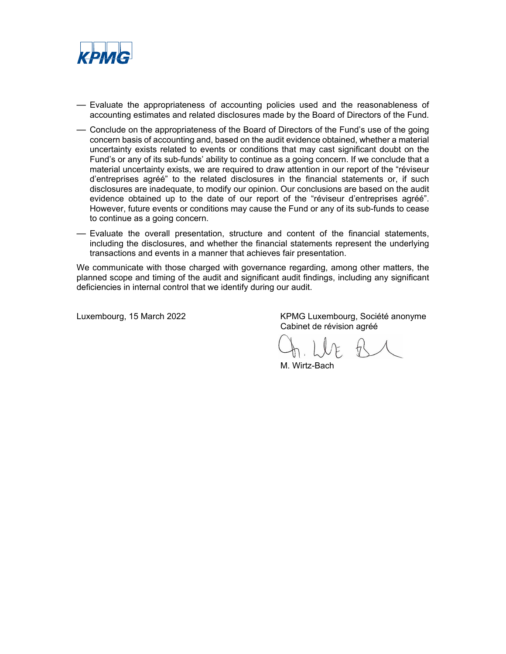

- Evaluate the appropriateness of accounting policies used and the reasonableness of accounting estimates and related disclosures made by the Board of Directors of the Fund*.*
- Conclude on the appropriateness of the Board of Directors of the Fund's use of the going concern basis of accounting and, based on the audit evidence obtained, whether a material uncertainty exists related to events or conditions that may cast significant doubt on the Fund's or any of its sub-funds' ability to continue as a going concern. If we conclude that a material uncertainty exists, we are required to draw attention in our report of the "réviseur d'entreprises agréé" to the related disclosures in the financial statements or, if such disclosures are inadequate, to modify our opinion. Our conclusions are based on the audit evidence obtained up to the date of our report of the "réviseur d'entreprises agréé". However, future events or conditions may cause the Fund or any of its sub-funds to cease to continue as a going concern.
- Evaluate the overall presentation, structure and content of the financial statements, including the disclosures, and whether the financial statements represent the underlying transactions and events in a manner that achieves fair presentation.

We communicate with those charged with governance regarding, among other matters, the planned scope and timing of the audit and significant audit findings, including any significant deficiencies in internal control that we identify during our audit.

Luxembourg, 15 March 2022 KPMG Luxembourg, Société anonyme Cabinet de révision agréé

M. Wirtz-Bach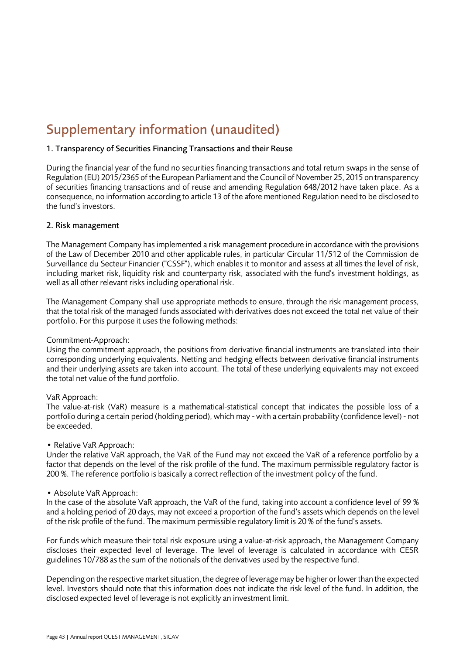### <span id="page-42-0"></span>Supplementary information (unaudited)

### 1. Transparency of Securities Financing Transactions and their Reuse

During the financial year of the fund no securities financing transactions and total return swaps in the sense of Regulation (EU) 2015/2365 of the European Parliament and the Council of November 25, 2015 on transparency of securities financing transactions and of reuse and amending Regulation 648/2012 have taken place. As a consequence, no information according to article 13 of the afore mentioned Regulation need to be disclosed to the fund's investors.

### 2. Risk management

The Management Company has implemented a risk management procedure in accordance with the provisions of the Law of December 2010 and other applicable rules, in particular Circular 11/512 of the Commission de Surveillance du Secteur Financier ("CSSF"), which enables it to monitor and assess at all times the level of risk, including market risk, liquidity risk and counterparty risk, associated with the fund's investment holdings, as well as all other relevant risks including operational risk.

The Management Company shall use appropriate methods to ensure, through the risk management process, that the total risk of the managed funds associated with derivatives does not exceed the total net value of their portfolio. For this purpose it uses the following methods:

### Commitment-Approach:

Using the commitment approach, the positions from derivative financial instruments are translated into their corresponding underlying equivalents. Netting and hedging effects between derivative financial instruments and their underlying assets are taken into account. The total of these underlying equivalents may not exceed the total net value of the fund portfolio.

### VaR Approach:

The value-at-risk (VaR) measure is a mathematical-statistical concept that indicates the possible loss of a portfolio during a certain period (holding period), which may - with a certain probability (confidence level) - not be exceeded.

### • Relative VaR Approach:

Under the relative VaR approach, the VaR of the Fund may not exceed the VaR of a reference portfolio by a factor that depends on the level of the risk profile of the fund. The maximum permissible regulatory factor is 200 %. The reference portfolio is basically a correct reflection of the investment policy of the fund.

### • Absolute VaR Approach:

In the case of the absolute VaR approach, the VaR of the fund, taking into account a confidence level of 99 % and a holding period of 20 days, may not exceed a proportion of the fund's assets which depends on the level of the risk profile of the fund. The maximum permissible regulatory limit is 20 % of the fund's assets.

For funds which measure their total risk exposure using a value-at-risk approach, the Management Company discloses their expected level of leverage. The level of leverage is calculated in accordance with CESR guidelines 10/788 as the sum of the notionals of the derivatives used by the respective fund.

Depending on the respective market situation, the degree of leverage may be higher or lower than the expected level. Investors should note that this information does not indicate the risk level of the fund. In addition, the disclosed expected level of leverage is not explicitly an investment limit.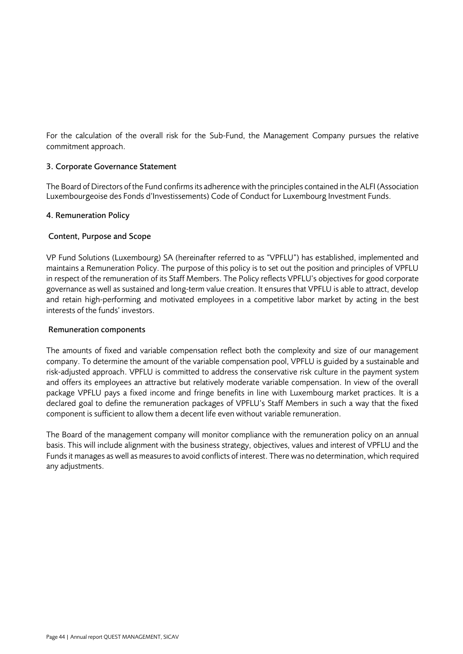For the calculation of the overall risk for the Sub-Fund, the Management Company pursues the relative commitment approach.

### 3. Corporate Governance Statement

The Board of Directors of the Fund confirms its adherence with the principles contained in the ALFI (Association Luxembourgeoise des Fonds d'Investissements) Code of Conduct for Luxembourg Investment Funds.

### 4. Remuneration Policy

### Content, Purpose and Scope

VP Fund Solutions (Luxembourg) SA (hereinafter referred to as "VPFLU") has established, implemented and maintains a Remuneration Policy. The purpose of this policy is to set out the position and principles of VPFLU in respect of the remuneration of its Staff Members. The Policy reflects VPFLU's objectives for good corporate governance as well as sustained and long-term value creation. It ensures that VPFLU is able to attract, develop and retain high-performing and motivated employees in a competitive labor market by acting in the best interests of the funds' investors.

### Remuneration components

The amounts of fixed and variable compensation reflect both the complexity and size of our management company. To determine the amount of the variable compensation pool, VPFLU is guided by a sustainable and risk-adjusted approach. VPFLU is committed to address the conservative risk culture in the payment system and offers its employees an attractive but relatively moderate variable compensation. In view of the overall package VPFLU pays a fixed income and fringe benefits in line with Luxembourg market practices. It is a declared goal to define the remuneration packages of VPFLU's Staff Members in such a way that the fixed component is sufficient to allow them a decent life even without variable remuneration.

The Board of the management company will monitor compliance with the remuneration policy on an annual basis. This will include alignment with the business strategy, objectives, values and interest of VPFLU and the Funds it manages as well as measures to avoid conflicts of interest. There was no determination, which required any adjustments.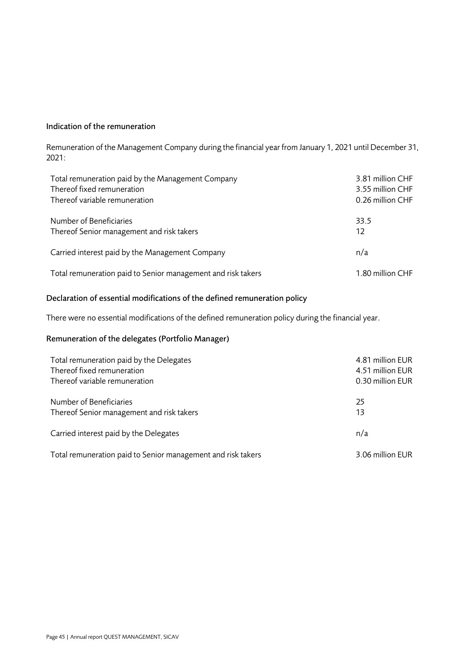### Indication of the remuneration

Remuneration of the Management Company during the financial year from January 1, 2021 until December 31, 2021:

| Total remuneration paid by the Management Company            | 3.81 million CHF |
|--------------------------------------------------------------|------------------|
| Thereof fixed remuneration                                   | 3.55 million CHF |
| Thereof variable remuneration                                | 0.26 million CHF |
| Number of Beneficiaries                                      | 33.5             |
| Thereof Senior management and risk takers                    | 12               |
| Carried interest paid by the Management Company              | n/a              |
| Total remuneration paid to Senior management and risk takers | 1.80 million CHF |

### Declaration of essential modifications of the defined remuneration policy

There were no essential modifications of the defined remuneration policy during the financial year.

### Remuneration of the delegates (Portfolio Manager)

| Total remuneration paid by the Delegates                     | 4.81 million EUR |
|--------------------------------------------------------------|------------------|
| Thereof fixed remuneration                                   | 4.51 million EUR |
| Thereof variable remuneration                                | 0.30 million EUR |
| Number of Beneficiaries                                      | 25               |
| Thereof Senior management and risk takers                    | 13               |
| Carried interest paid by the Delegates                       | n/a              |
| Total remuneration paid to Senior management and risk takers | 3.06 million EUR |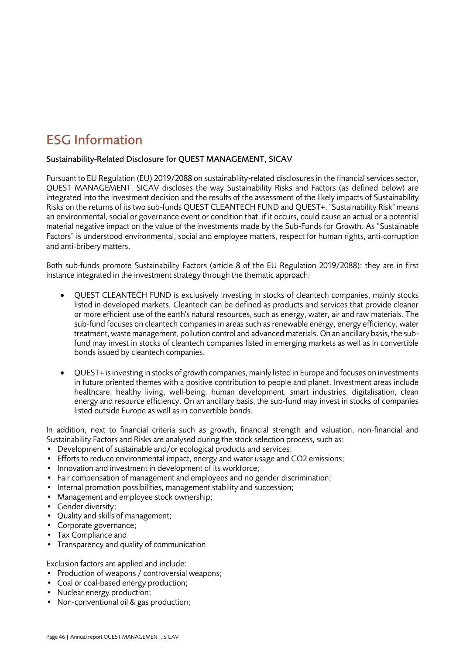### <span id="page-45-0"></span>ESG Information

### Sustainability-Related Disclosure for QUEST MANAGEMENT, SICAV

Pursuant to EU Regulation (EU) 2019/2088 on sustainability-related disclosures in the financial services sector, QUEST MANAGEMENT, SICAV discloses the way Sustainability Risks and Factors (as defined below) are integrated into the investment decision and the results of the assessment of the likely impacts of Sustainability Risks on the returns of its two sub-funds QUEST CLEANTECH FUND and QUEST+. "Sustainability Risk" means an environmental, social or governance event or condition that, if it occurs, could cause an actual or a potential material negative impact on the value of the investments made by the Sub-Funds for Growth. As "Sustainable Factors" is understood environmental, social and employee matters, respect for human rights, anti‐corruption and anti‐bribery matters.

Both sub-funds promote Sustainability Factors (article 8 of the EU Regulation 2019/2088): they are in first instance integrated in the investment strategy through the thematic approach:

- QUEST CLEANTECH FUND is exclusively investing in stocks of cleantech companies, mainly stocks listed in developed markets. Cleantech can be defined as products and services that provide cleaner or more efficient use of the earth's natural resources, such as energy, water, air and raw materials. The sub-fund focuses on cleantech companies in areas such as renewable energy, energy efficiency, water treatment, waste management, pollution control and advanced materials. On an ancillary basis, the subfund may invest in stocks of cleantech companies listed in emerging markets as well as in convertible bonds issued by cleantech companies.
- QUEST+ is investing in stocks of growth companies, mainly listed in Europe and focuses on investments in future oriented themes with a positive contribution to people and planet. Investment areas include healthcare, healthy living, well-being, human development, smart industries, digitalisation, clean energy and resource efficiency. On an ancillary basis, the sub-fund may invest in stocks of companies listed outside Europe as well as in convertible bonds.

In addition, next to financial criteria such as growth, financial strength and valuation, non-financial and Sustainability Factors and Risks are analysed during the stock selection process, such as:

- Development of sustainable and/or ecological products and services;
- Efforts to reduce environmental impact, energy and water usage and CO2 emissions;
- Innovation and investment in development of its workforce;
- Fair compensation of management and employees and no gender discrimination;
- Internal promotion possibilities, management stability and succession;
- Management and employee stock ownership;
- Gender diversity;
- Ouality and skills of management;
- Corporate governance;
- Tax Compliance and
- Transparency and quality of communication

Exclusion factors are applied and include:

- Production of weapons / controversial weapons;
- Coal or coal-based energy production;
- Nuclear energy production;
- Non-conventional oil & gas production;